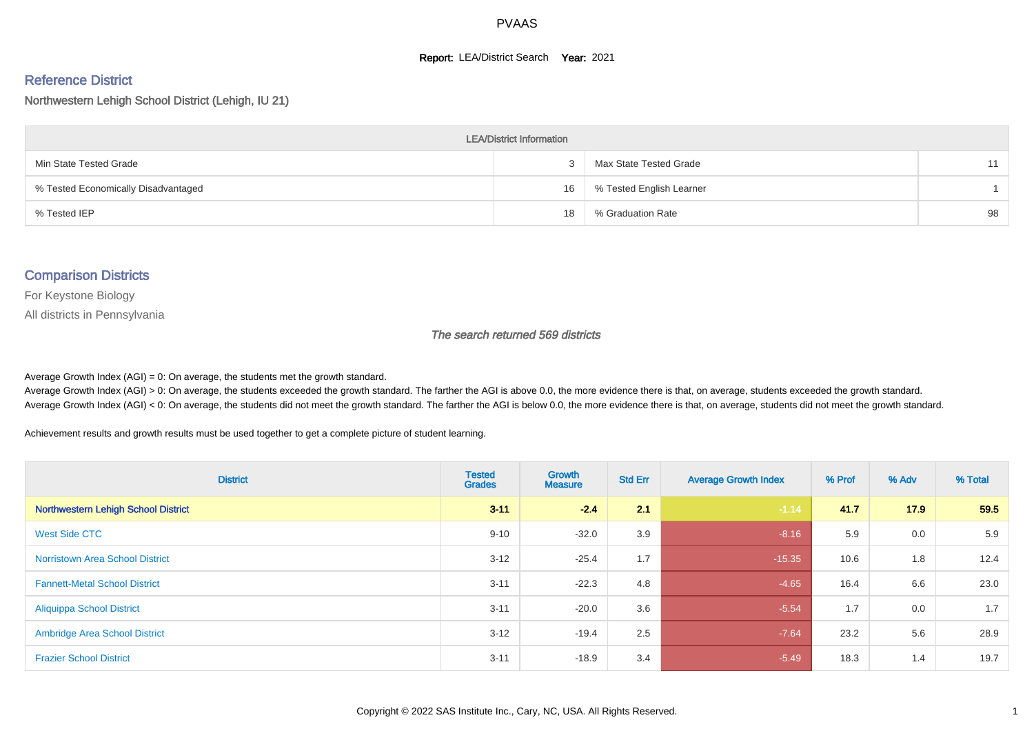#### **Report: LEA/District Search Year: 2021**

#### Reference District

Northwestern Lehigh School District (Lehigh, IU 21)

| <b>LEA/District Information</b>     |    |                          |    |  |  |  |  |  |  |  |
|-------------------------------------|----|--------------------------|----|--|--|--|--|--|--|--|
| Min State Tested Grade              |    | Max State Tested Grade   | 11 |  |  |  |  |  |  |  |
| % Tested Economically Disadvantaged | 16 | % Tested English Learner |    |  |  |  |  |  |  |  |
| % Tested IEP                        | 18 | % Graduation Rate        | 98 |  |  |  |  |  |  |  |

#### Comparison Districts

For Keystone Biology

All districts in Pennsylvania

The search returned 569 districts

Average Growth Index  $(AGI) = 0$ : On average, the students met the growth standard.

Average Growth Index (AGI) > 0: On average, the students exceeded the growth standard. The farther the AGI is above 0.0, the more evidence there is that, on average, students exceeded the growth standard. Average Growth Index (AGI) < 0: On average, the students did not meet the growth standard. The farther the AGI is below 0.0, the more evidence there is that, on average, students did not meet the growth standard.

Achievement results and growth results must be used together to get a complete picture of student learning.

| <b>District</b>                        | <b>Tested</b><br><b>Grades</b> | <b>Growth</b><br><b>Measure</b> | <b>Std Err</b> | <b>Average Growth Index</b> | % Prof | % Adv | % Total |
|----------------------------------------|--------------------------------|---------------------------------|----------------|-----------------------------|--------|-------|---------|
| Northwestern Lehigh School District    | $3 - 11$                       | $-2.4$                          | 2.1            | $-1.14$                     | 41.7   | 17.9  | 59.5    |
| West Side CTC                          | $9 - 10$                       | $-32.0$                         | 3.9            | $-8.16$                     | 5.9    | 0.0   | 5.9     |
| <b>Norristown Area School District</b> | $3 - 12$                       | $-25.4$                         | 1.7            | $-15.35$                    | 10.6   | 1.8   | 12.4    |
| <b>Fannett-Metal School District</b>   | $3 - 11$                       | $-22.3$                         | 4.8            | $-4.65$                     | 16.4   | 6.6   | 23.0    |
| <b>Aliquippa School District</b>       | $3 - 11$                       | $-20.0$                         | 3.6            | $-5.54$                     | 1.7    | 0.0   | 1.7     |
| <b>Ambridge Area School District</b>   | $3 - 12$                       | $-19.4$                         | 2.5            | $-7.64$                     | 23.2   | 5.6   | 28.9    |
| <b>Frazier School District</b>         | $3 - 11$                       | $-18.9$                         | 3.4            | $-5.49$                     | 18.3   | 1.4   | 19.7    |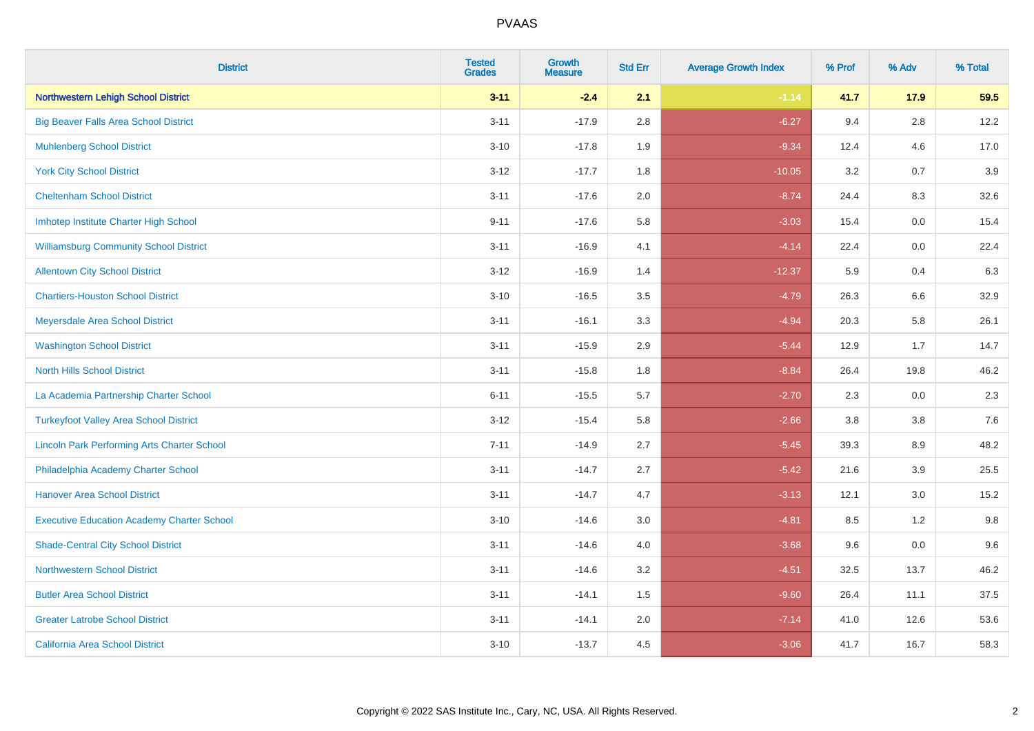| <b>District</b>                                    | <b>Tested</b><br><b>Grades</b> | <b>Growth</b><br><b>Measure</b> | <b>Std Err</b> | <b>Average Growth Index</b> | % Prof | % Adv   | % Total |
|----------------------------------------------------|--------------------------------|---------------------------------|----------------|-----------------------------|--------|---------|---------|
| Northwestern Lehigh School District                | $3 - 11$                       | $-2.4$                          | 2.1            | $-1.14$                     | 41.7   | 17.9    | 59.5    |
| <b>Big Beaver Falls Area School District</b>       | $3 - 11$                       | $-17.9$                         | 2.8            | $-6.27$                     | 9.4    | $2.8\,$ | 12.2    |
| <b>Muhlenberg School District</b>                  | $3 - 10$                       | $-17.8$                         | 1.9            | $-9.34$                     | 12.4   | 4.6     | 17.0    |
| <b>York City School District</b>                   | $3 - 12$                       | $-17.7$                         | 1.8            | $-10.05$                    | 3.2    | 0.7     | 3.9     |
| <b>Cheltenham School District</b>                  | $3 - 11$                       | $-17.6$                         | 2.0            | $-8.74$                     | 24.4   | 8.3     | 32.6    |
| Imhotep Institute Charter High School              | $9 - 11$                       | $-17.6$                         | 5.8            | $-3.03$                     | 15.4   | 0.0     | 15.4    |
| <b>Williamsburg Community School District</b>      | $3 - 11$                       | $-16.9$                         | 4.1            | $-4.14$                     | 22.4   | 0.0     | 22.4    |
| <b>Allentown City School District</b>              | $3 - 12$                       | $-16.9$                         | 1.4            | $-12.37$                    | 5.9    | 0.4     | 6.3     |
| <b>Chartiers-Houston School District</b>           | $3 - 10$                       | $-16.5$                         | 3.5            | $-4.79$                     | 26.3   | 6.6     | 32.9    |
| Meyersdale Area School District                    | $3 - 11$                       | $-16.1$                         | 3.3            | $-4.94$                     | 20.3   | 5.8     | 26.1    |
| <b>Washington School District</b>                  | $3 - 11$                       | $-15.9$                         | 2.9            | $-5.44$                     | 12.9   | 1.7     | 14.7    |
| <b>North Hills School District</b>                 | $3 - 11$                       | $-15.8$                         | 1.8            | $-8.84$                     | 26.4   | 19.8    | 46.2    |
| La Academia Partnership Charter School             | $6 - 11$                       | $-15.5$                         | 5.7            | $-2.70$                     | 2.3    | $0.0\,$ | 2.3     |
| <b>Turkeyfoot Valley Area School District</b>      | $3 - 12$                       | $-15.4$                         | 5.8            | $-2.66$                     | 3.8    | 3.8     | 7.6     |
| <b>Lincoln Park Performing Arts Charter School</b> | $7 - 11$                       | $-14.9$                         | 2.7            | $-5.45$                     | 39.3   | 8.9     | 48.2    |
| Philadelphia Academy Charter School                | $3 - 11$                       | $-14.7$                         | 2.7            | $-5.42$                     | 21.6   | 3.9     | 25.5    |
| <b>Hanover Area School District</b>                | $3 - 11$                       | $-14.7$                         | 4.7            | $-3.13$                     | 12.1   | 3.0     | 15.2    |
| <b>Executive Education Academy Charter School</b>  | $3 - 10$                       | $-14.6$                         | 3.0            | $-4.81$                     | 8.5    | 1.2     | 9.8     |
| <b>Shade-Central City School District</b>          | $3 - 11$                       | $-14.6$                         | 4.0            | $-3.68$                     | 9.6    | 0.0     | 9.6     |
| <b>Northwestern School District</b>                | $3 - 11$                       | $-14.6$                         | 3.2            | $-4.51$                     | 32.5   | 13.7    | 46.2    |
| <b>Butler Area School District</b>                 | $3 - 11$                       | $-14.1$                         | 1.5            | $-9.60$                     | 26.4   | 11.1    | 37.5    |
| <b>Greater Latrobe School District</b>             | $3 - 11$                       | $-14.1$                         | 2.0            | $-7.14$                     | 41.0   | 12.6    | 53.6    |
| <b>California Area School District</b>             | $3 - 10$                       | $-13.7$                         | 4.5            | $-3.06$                     | 41.7   | 16.7    | 58.3    |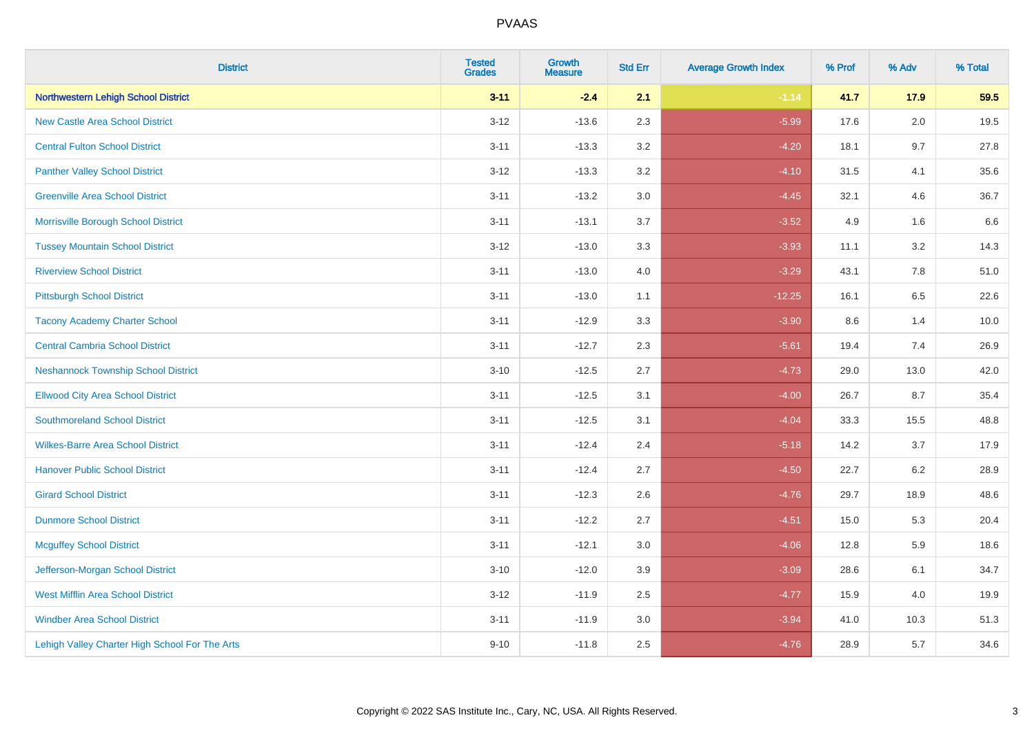| <b>District</b>                                | <b>Tested</b><br><b>Grades</b> | Growth<br><b>Measure</b> | <b>Std Err</b> | <b>Average Growth Index</b> | % Prof | % Adv   | % Total |
|------------------------------------------------|--------------------------------|--------------------------|----------------|-----------------------------|--------|---------|---------|
| <b>Northwestern Lehigh School District</b>     | $3 - 11$                       | $-2.4$                   | 2.1            | $-1.14$                     | 41.7   | 17.9    | 59.5    |
| <b>New Castle Area School District</b>         | $3 - 12$                       | $-13.6$                  | 2.3            | $-5.99$                     | 17.6   | 2.0     | 19.5    |
| <b>Central Fulton School District</b>          | $3 - 11$                       | $-13.3$                  | 3.2            | $-4.20$                     | 18.1   | 9.7     | 27.8    |
| <b>Panther Valley School District</b>          | $3-12$                         | $-13.3$                  | 3.2            | $-4.10$                     | 31.5   | 4.1     | 35.6    |
| <b>Greenville Area School District</b>         | $3 - 11$                       | $-13.2$                  | 3.0            | $-4.45$                     | 32.1   | 4.6     | 36.7    |
| Morrisville Borough School District            | $3 - 11$                       | $-13.1$                  | 3.7            | $-3.52$                     | 4.9    | 1.6     | 6.6     |
| <b>Tussey Mountain School District</b>         | $3 - 12$                       | $-13.0$                  | 3.3            | $-3.93$                     | 11.1   | $3.2\,$ | 14.3    |
| <b>Riverview School District</b>               | $3 - 11$                       | $-13.0$                  | 4.0            | $-3.29$                     | 43.1   | 7.8     | 51.0    |
| <b>Pittsburgh School District</b>              | $3 - 11$                       | $-13.0$                  | 1.1            | $-12.25$                    | 16.1   | 6.5     | 22.6    |
| <b>Tacony Academy Charter School</b>           | $3 - 11$                       | $-12.9$                  | 3.3            | $-3.90$                     | 8.6    | 1.4     | 10.0    |
| <b>Central Cambria School District</b>         | $3 - 11$                       | $-12.7$                  | 2.3            | $-5.61$                     | 19.4   | 7.4     | 26.9    |
| <b>Neshannock Township School District</b>     | $3 - 10$                       | $-12.5$                  | 2.7            | $-4.73$                     | 29.0   | 13.0    | 42.0    |
| <b>Ellwood City Area School District</b>       | $3 - 11$                       | $-12.5$                  | 3.1            | $-4.00$                     | 26.7   | 8.7     | 35.4    |
| <b>Southmoreland School District</b>           | $3 - 11$                       | $-12.5$                  | 3.1            | $-4.04$                     | 33.3   | 15.5    | 48.8    |
| <b>Wilkes-Barre Area School District</b>       | $3 - 11$                       | $-12.4$                  | 2.4            | $-5.18$                     | 14.2   | 3.7     | 17.9    |
| <b>Hanover Public School District</b>          | $3 - 11$                       | $-12.4$                  | 2.7            | $-4.50$                     | 22.7   | 6.2     | 28.9    |
| <b>Girard School District</b>                  | $3 - 11$                       | $-12.3$                  | 2.6            | $-4.76$                     | 29.7   | 18.9    | 48.6    |
| <b>Dunmore School District</b>                 | $3 - 11$                       | $-12.2$                  | 2.7            | $-4.51$                     | 15.0   | 5.3     | 20.4    |
| <b>Mcguffey School District</b>                | $3 - 11$                       | $-12.1$                  | 3.0            | $-4.06$                     | 12.8   | 5.9     | 18.6    |
| Jefferson-Morgan School District               | $3 - 10$                       | $-12.0$                  | 3.9            | $-3.09$                     | 28.6   | 6.1     | 34.7    |
| West Mifflin Area School District              | $3-12$                         | $-11.9$                  | 2.5            | $-4.77$                     | 15.9   | 4.0     | 19.9    |
| <b>Windber Area School District</b>            | $3 - 11$                       | $-11.9$                  | 3.0            | $-3.94$                     | 41.0   | 10.3    | 51.3    |
| Lehigh Valley Charter High School For The Arts | $9 - 10$                       | $-11.8$                  | 2.5            | $-4.76$                     | 28.9   | 5.7     | 34.6    |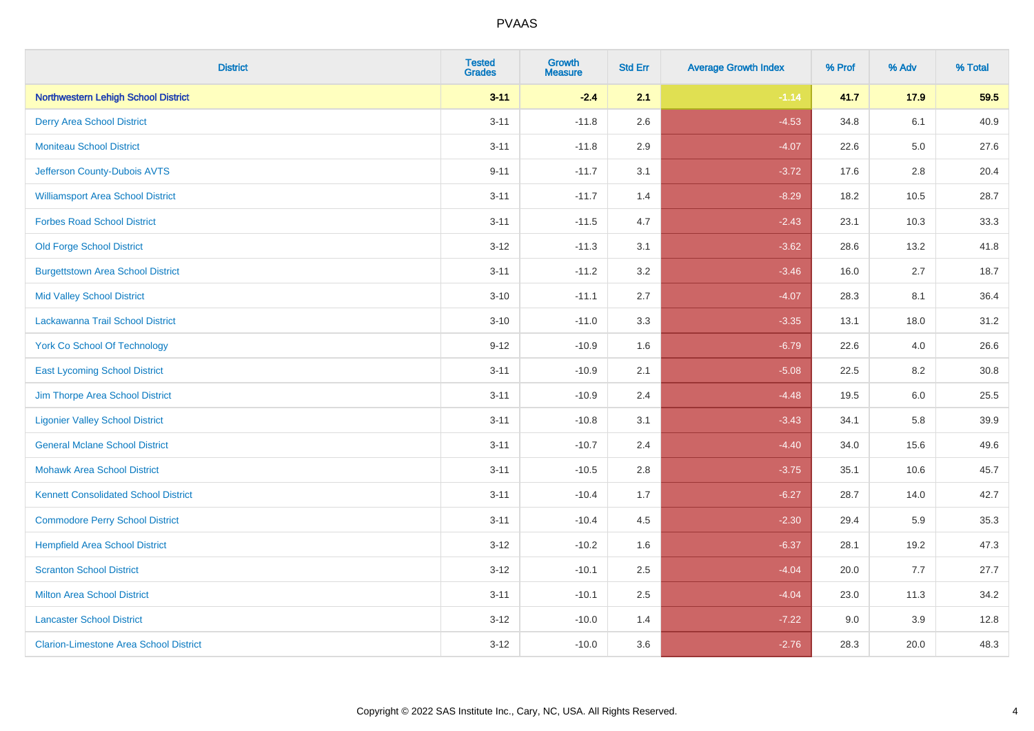| <b>District</b>                               | <b>Tested</b><br><b>Grades</b> | <b>Growth</b><br><b>Measure</b> | <b>Std Err</b> | <b>Average Growth Index</b> | % Prof | % Adv   | % Total |
|-----------------------------------------------|--------------------------------|---------------------------------|----------------|-----------------------------|--------|---------|---------|
| <b>Northwestern Lehigh School District</b>    | $3 - 11$                       | $-2.4$                          | 2.1            | $-1.14$                     | 41.7   | 17.9    | 59.5    |
| <b>Derry Area School District</b>             | $3 - 11$                       | $-11.8$                         | 2.6            | $-4.53$                     | 34.8   | 6.1     | 40.9    |
| <b>Moniteau School District</b>               | $3 - 11$                       | $-11.8$                         | 2.9            | $-4.07$                     | 22.6   | $5.0\,$ | 27.6    |
| Jefferson County-Dubois AVTS                  | $9 - 11$                       | $-11.7$                         | 3.1            | $-3.72$                     | 17.6   | 2.8     | 20.4    |
| <b>Williamsport Area School District</b>      | $3 - 11$                       | $-11.7$                         | 1.4            | $-8.29$                     | 18.2   | 10.5    | 28.7    |
| <b>Forbes Road School District</b>            | $3 - 11$                       | $-11.5$                         | 4.7            | $-2.43$                     | 23.1   | 10.3    | 33.3    |
| <b>Old Forge School District</b>              | $3-12$                         | $-11.3$                         | 3.1            | $-3.62$                     | 28.6   | 13.2    | 41.8    |
| <b>Burgettstown Area School District</b>      | $3 - 11$                       | $-11.2$                         | 3.2            | $-3.46$                     | 16.0   | 2.7     | 18.7    |
| <b>Mid Valley School District</b>             | $3 - 10$                       | $-11.1$                         | 2.7            | $-4.07$                     | 28.3   | 8.1     | 36.4    |
| Lackawanna Trail School District              | $3 - 10$                       | $-11.0$                         | 3.3            | $-3.35$                     | 13.1   | 18.0    | 31.2    |
| <b>York Co School Of Technology</b>           | $9 - 12$                       | $-10.9$                         | 1.6            | $-6.79$                     | 22.6   | 4.0     | 26.6    |
| <b>East Lycoming School District</b>          | $3 - 11$                       | $-10.9$                         | 2.1            | $-5.08$                     | 22.5   | 8.2     | 30.8    |
| Jim Thorpe Area School District               | $3 - 11$                       | $-10.9$                         | 2.4            | $-4.48$                     | 19.5   | 6.0     | 25.5    |
| <b>Ligonier Valley School District</b>        | $3 - 11$                       | $-10.8$                         | 3.1            | $-3.43$                     | 34.1   | 5.8     | 39.9    |
| <b>General Mclane School District</b>         | $3 - 11$                       | $-10.7$                         | 2.4            | $-4.40$                     | 34.0   | 15.6    | 49.6    |
| <b>Mohawk Area School District</b>            | $3 - 11$                       | $-10.5$                         | 2.8            | $-3.75$                     | 35.1   | 10.6    | 45.7    |
| <b>Kennett Consolidated School District</b>   | $3 - 11$                       | $-10.4$                         | 1.7            | $-6.27$                     | 28.7   | 14.0    | 42.7    |
| <b>Commodore Perry School District</b>        | $3 - 11$                       | $-10.4$                         | 4.5            | $-2.30$                     | 29.4   | 5.9     | 35.3    |
| <b>Hempfield Area School District</b>         | $3 - 12$                       | $-10.2$                         | 1.6            | $-6.37$                     | 28.1   | 19.2    | 47.3    |
| <b>Scranton School District</b>               | $3-12$                         | $-10.1$                         | 2.5            | $-4.04$                     | 20.0   | 7.7     | 27.7    |
| <b>Milton Area School District</b>            | $3 - 11$                       | $-10.1$                         | 2.5            | $-4.04$                     | 23.0   | 11.3    | 34.2    |
| <b>Lancaster School District</b>              | $3 - 12$                       | $-10.0$                         | 1.4            | $-7.22$                     | 9.0    | 3.9     | 12.8    |
| <b>Clarion-Limestone Area School District</b> | $3-12$                         | $-10.0$                         | 3.6            | $-2.76$                     | 28.3   | 20.0    | 48.3    |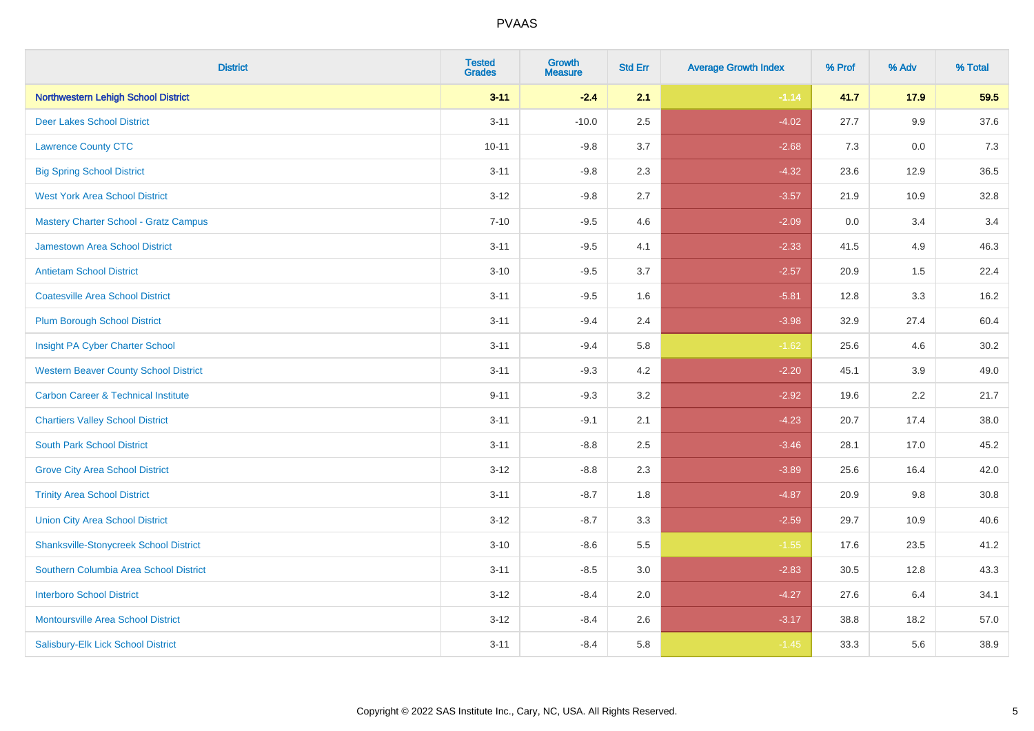| <b>District</b>                                | <b>Tested</b><br><b>Grades</b> | <b>Growth</b><br><b>Measure</b> | <b>Std Err</b> | <b>Average Growth Index</b> | % Prof | % Adv | % Total |
|------------------------------------------------|--------------------------------|---------------------------------|----------------|-----------------------------|--------|-------|---------|
| <b>Northwestern Lehigh School District</b>     | $3 - 11$                       | $-2.4$                          | 2.1            | $-1.14$                     | 41.7   | 17.9  | 59.5    |
| <b>Deer Lakes School District</b>              | $3 - 11$                       | $-10.0$                         | 2.5            | $-4.02$                     | 27.7   | 9.9   | 37.6    |
| <b>Lawrence County CTC</b>                     | $10 - 11$                      | $-9.8$                          | 3.7            | $-2.68$                     | 7.3    | 0.0   | 7.3     |
| <b>Big Spring School District</b>              | $3 - 11$                       | $-9.8$                          | 2.3            | $-4.32$                     | 23.6   | 12.9  | 36.5    |
| <b>West York Area School District</b>          | $3 - 12$                       | $-9.8$                          | 2.7            | $-3.57$                     | 21.9   | 10.9  | 32.8    |
| Mastery Charter School - Gratz Campus          | $7 - 10$                       | $-9.5$                          | 4.6            | $-2.09$                     | 0.0    | 3.4   | 3.4     |
| <b>Jamestown Area School District</b>          | $3 - 11$                       | $-9.5$                          | 4.1            | $-2.33$                     | 41.5   | 4.9   | 46.3    |
| <b>Antietam School District</b>                | $3 - 10$                       | $-9.5$                          | 3.7            | $-2.57$                     | 20.9   | 1.5   | 22.4    |
| <b>Coatesville Area School District</b>        | $3 - 11$                       | $-9.5$                          | 1.6            | $-5.81$                     | 12.8   | 3.3   | 16.2    |
| <b>Plum Borough School District</b>            | $3 - 11$                       | $-9.4$                          | 2.4            | $-3.98$                     | 32.9   | 27.4  | 60.4    |
| Insight PA Cyber Charter School                | $3 - 11$                       | $-9.4$                          | 5.8            | $-1.62$                     | 25.6   | 4.6   | 30.2    |
| <b>Western Beaver County School District</b>   | $3 - 11$                       | $-9.3$                          | 4.2            | $-2.20$                     | 45.1   | 3.9   | 49.0    |
| <b>Carbon Career &amp; Technical Institute</b> | $9 - 11$                       | $-9.3$                          | 3.2            | $-2.92$                     | 19.6   | 2.2   | 21.7    |
| <b>Chartiers Valley School District</b>        | $3 - 11$                       | $-9.1$                          | 2.1            | $-4.23$                     | 20.7   | 17.4  | 38.0    |
| <b>South Park School District</b>              | $3 - 11$                       | $-8.8$                          | 2.5            | $-3.46$                     | 28.1   | 17.0  | 45.2    |
| <b>Grove City Area School District</b>         | $3 - 12$                       | $-8.8$                          | 2.3            | $-3.89$                     | 25.6   | 16.4  | 42.0    |
| <b>Trinity Area School District</b>            | $3 - 11$                       | $-8.7$                          | 1.8            | $-4.87$                     | 20.9   | 9.8   | 30.8    |
| <b>Union City Area School District</b>         | $3 - 12$                       | $-8.7$                          | 3.3            | $-2.59$                     | 29.7   | 10.9  | 40.6    |
| <b>Shanksville-Stonycreek School District</b>  | $3 - 10$                       | $-8.6$                          | 5.5            | $-1.55$                     | 17.6   | 23.5  | 41.2    |
| Southern Columbia Area School District         | $3 - 11$                       | $-8.5$                          | 3.0            | $-2.83$                     | 30.5   | 12.8  | 43.3    |
| <b>Interboro School District</b>               | $3 - 12$                       | $-8.4$                          | 2.0            | $-4.27$                     | 27.6   | 6.4   | 34.1    |
| <b>Montoursville Area School District</b>      | $3 - 12$                       | $-8.4$                          | 2.6            | $-3.17$                     | 38.8   | 18.2  | 57.0    |
| Salisbury-Elk Lick School District             | $3 - 11$                       | $-8.4$                          | 5.8            | $-1.45$                     | 33.3   | 5.6   | 38.9    |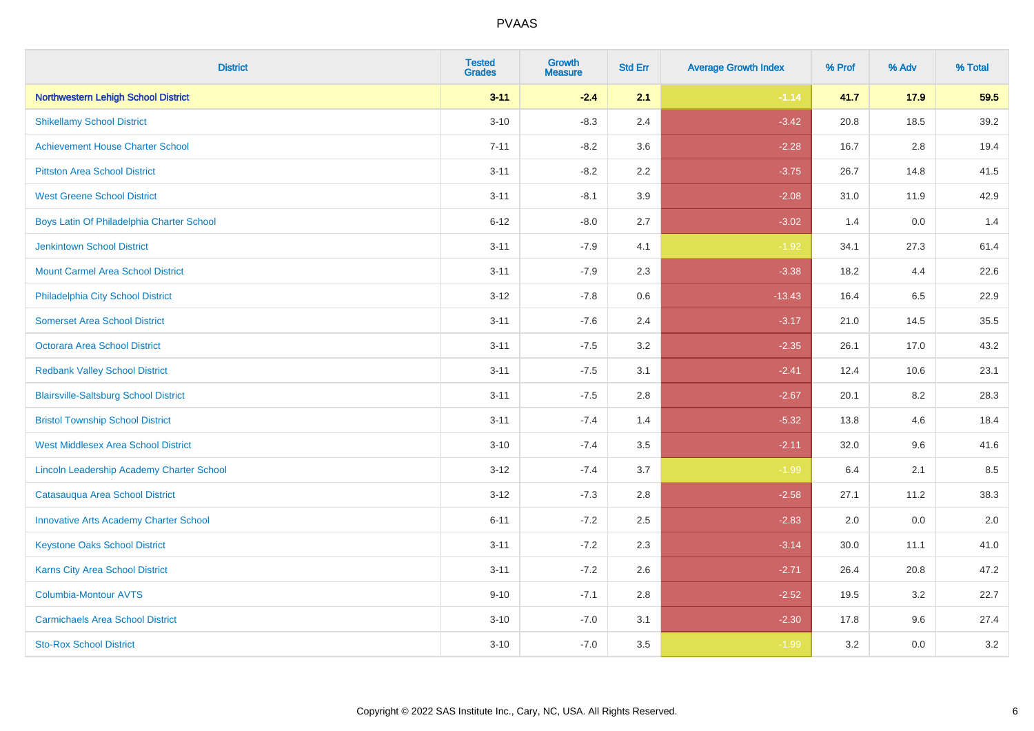| <b>District</b>                               | <b>Tested</b><br><b>Grades</b> | <b>Growth</b><br><b>Measure</b> | <b>Std Err</b> | <b>Average Growth Index</b> | % Prof | % Adv | % Total |
|-----------------------------------------------|--------------------------------|---------------------------------|----------------|-----------------------------|--------|-------|---------|
| <b>Northwestern Lehigh School District</b>    | $3 - 11$                       | $-2.4$                          | 2.1            | $-1.14$                     | 41.7   | 17.9  | 59.5    |
| <b>Shikellamy School District</b>             | $3 - 10$                       | $-8.3$                          | 2.4            | $-3.42$                     | 20.8   | 18.5  | 39.2    |
| <b>Achievement House Charter School</b>       | $7 - 11$                       | $-8.2$                          | 3.6            | $-2.28$                     | 16.7   | 2.8   | 19.4    |
| <b>Pittston Area School District</b>          | $3 - 11$                       | $-8.2$                          | 2.2            | $-3.75$                     | 26.7   | 14.8  | 41.5    |
| <b>West Greene School District</b>            | $3 - 11$                       | $-8.1$                          | 3.9            | $-2.08$                     | 31.0   | 11.9  | 42.9    |
| Boys Latin Of Philadelphia Charter School     | $6 - 12$                       | $-8.0$                          | 2.7            | $-3.02$                     | 1.4    | 0.0   | 1.4     |
| <b>Jenkintown School District</b>             | $3 - 11$                       | $-7.9$                          | 4.1            | $-1.92$                     | 34.1   | 27.3  | 61.4    |
| <b>Mount Carmel Area School District</b>      | $3 - 11$                       | $-7.9$                          | 2.3            | $-3.38$                     | 18.2   | 4.4   | 22.6    |
| Philadelphia City School District             | $3 - 12$                       | $-7.8$                          | 0.6            | $-13.43$                    | 16.4   | 6.5   | 22.9    |
| <b>Somerset Area School District</b>          | $3 - 11$                       | $-7.6$                          | 2.4            | $-3.17$                     | 21.0   | 14.5  | 35.5    |
| Octorara Area School District                 | $3 - 11$                       | $-7.5$                          | 3.2            | $-2.35$                     | 26.1   | 17.0  | 43.2    |
| <b>Redbank Valley School District</b>         | $3 - 11$                       | $-7.5$                          | 3.1            | $-2.41$                     | 12.4   | 10.6  | 23.1    |
| <b>Blairsville-Saltsburg School District</b>  | $3 - 11$                       | $-7.5$                          | 2.8            | $-2.67$                     | 20.1   | 8.2   | 28.3    |
| <b>Bristol Township School District</b>       | $3 - 11$                       | $-7.4$                          | 1.4            | $-5.32$                     | 13.8   | 4.6   | 18.4    |
| <b>West Middlesex Area School District</b>    | $3 - 10$                       | $-7.4$                          | 3.5            | $-2.11$                     | 32.0   | 9.6   | 41.6    |
| Lincoln Leadership Academy Charter School     | $3 - 12$                       | $-7.4$                          | 3.7            | $-1.99$                     | 6.4    | 2.1   | 8.5     |
| Catasauqua Area School District               | $3 - 12$                       | $-7.3$                          | 2.8            | $-2.58$                     | 27.1   | 11.2  | 38.3    |
| <b>Innovative Arts Academy Charter School</b> | $6 - 11$                       | $-7.2$                          | 2.5            | $-2.83$                     | 2.0    | 0.0   | 2.0     |
| <b>Keystone Oaks School District</b>          | $3 - 11$                       | $-7.2$                          | 2.3            | $-3.14$                     | 30.0   | 11.1  | 41.0    |
| Karns City Area School District               | $3 - 11$                       | $-7.2$                          | 2.6            | $-2.71$                     | 26.4   | 20.8  | 47.2    |
| <b>Columbia-Montour AVTS</b>                  | $9 - 10$                       | $-7.1$                          | 2.8            | $-2.52$                     | 19.5   | 3.2   | 22.7    |
| <b>Carmichaels Area School District</b>       | $3 - 10$                       | $-7.0$                          | 3.1            | $-2.30$                     | 17.8   | 9.6   | 27.4    |
| <b>Sto-Rox School District</b>                | $3 - 10$                       | $-7.0$                          | 3.5            | $-1.99$                     | 3.2    | 0.0   | 3.2     |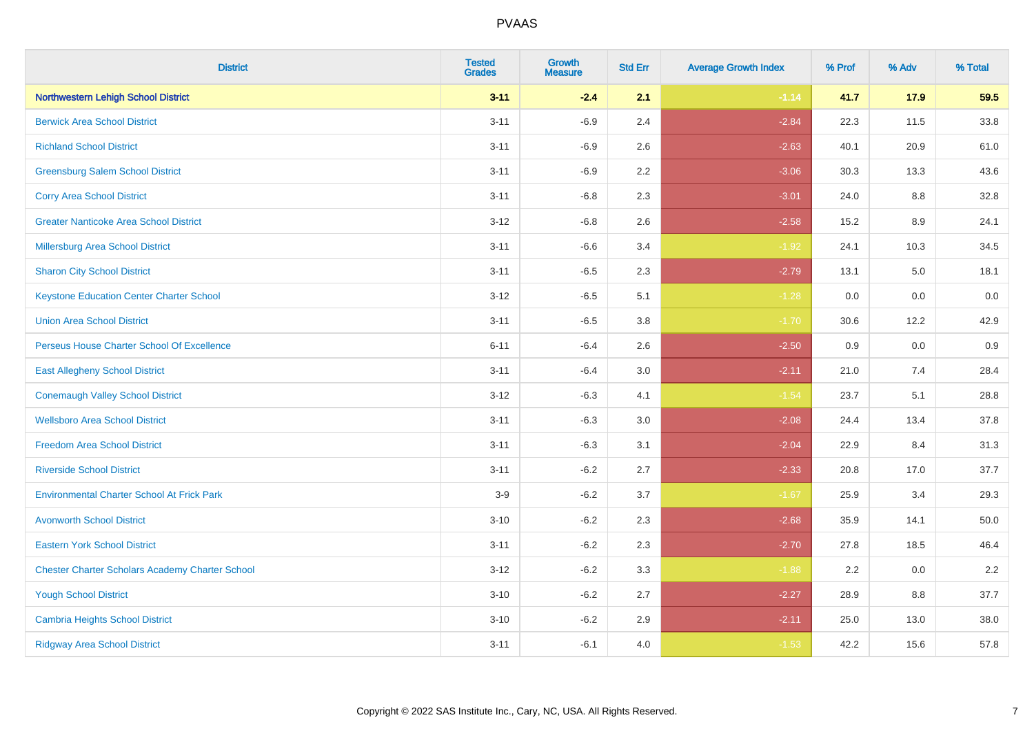| <b>District</b>                                        | <b>Tested</b><br><b>Grades</b> | <b>Growth</b><br><b>Measure</b> | <b>Std Err</b> | <b>Average Growth Index</b> | % Prof | % Adv | % Total |
|--------------------------------------------------------|--------------------------------|---------------------------------|----------------|-----------------------------|--------|-------|---------|
| <b>Northwestern Lehigh School District</b>             | $3 - 11$                       | $-2.4$                          | 2.1            | $-1.14$                     | 41.7   | 17.9  | 59.5    |
| <b>Berwick Area School District</b>                    | $3 - 11$                       | $-6.9$                          | 2.4            | $-2.84$                     | 22.3   | 11.5  | 33.8    |
| <b>Richland School District</b>                        | $3 - 11$                       | $-6.9$                          | 2.6            | $-2.63$                     | 40.1   | 20.9  | 61.0    |
| <b>Greensburg Salem School District</b>                | $3 - 11$                       | $-6.9$                          | 2.2            | $-3.06$                     | 30.3   | 13.3  | 43.6    |
| <b>Corry Area School District</b>                      | $3 - 11$                       | $-6.8$                          | 2.3            | $-3.01$                     | 24.0   | 8.8   | 32.8    |
| <b>Greater Nanticoke Area School District</b>          | $3 - 12$                       | $-6.8$                          | 2.6            | $-2.58$                     | 15.2   | 8.9   | 24.1    |
| <b>Millersburg Area School District</b>                | $3 - 11$                       | $-6.6$                          | 3.4            | $-1.92$                     | 24.1   | 10.3  | 34.5    |
| <b>Sharon City School District</b>                     | $3 - 11$                       | $-6.5$                          | 2.3            | $-2.79$                     | 13.1   | 5.0   | 18.1    |
| <b>Keystone Education Center Charter School</b>        | $3 - 12$                       | $-6.5$                          | 5.1            | $-1.28$                     | 0.0    | 0.0   | 0.0     |
| <b>Union Area School District</b>                      | $3 - 11$                       | $-6.5$                          | 3.8            | $-1.70$                     | 30.6   | 12.2  | 42.9    |
| Perseus House Charter School Of Excellence             | $6 - 11$                       | $-6.4$                          | 2.6            | $-2.50$                     | 0.9    | 0.0   | 0.9     |
| <b>East Allegheny School District</b>                  | $3 - 11$                       | $-6.4$                          | 3.0            | $-2.11$                     | 21.0   | 7.4   | 28.4    |
| <b>Conemaugh Valley School District</b>                | $3 - 12$                       | $-6.3$                          | 4.1            | $-1.54$                     | 23.7   | 5.1   | 28.8    |
| <b>Wellsboro Area School District</b>                  | $3 - 11$                       | $-6.3$                          | 3.0            | $-2.08$                     | 24.4   | 13.4  | 37.8    |
| <b>Freedom Area School District</b>                    | $3 - 11$                       | $-6.3$                          | 3.1            | $-2.04$                     | 22.9   | 8.4   | 31.3    |
| <b>Riverside School District</b>                       | $3 - 11$                       | $-6.2$                          | 2.7            | $-2.33$                     | 20.8   | 17.0  | 37.7    |
| <b>Environmental Charter School At Frick Park</b>      | $3-9$                          | $-6.2$                          | 3.7            | $-1.67$                     | 25.9   | 3.4   | 29.3    |
| <b>Avonworth School District</b>                       | $3 - 10$                       | $-6.2$                          | 2.3            | $-2.68$                     | 35.9   | 14.1  | 50.0    |
| <b>Eastern York School District</b>                    | $3 - 11$                       | $-6.2$                          | 2.3            | $-2.70$                     | 27.8   | 18.5  | 46.4    |
| <b>Chester Charter Scholars Academy Charter School</b> | $3 - 12$                       | $-6.2$                          | 3.3            | $-1.88$                     | 2.2    | 0.0   | 2.2     |
| <b>Yough School District</b>                           | $3 - 10$                       | $-6.2$                          | 2.7            | $-2.27$                     | 28.9   | 8.8   | 37.7    |
| <b>Cambria Heights School District</b>                 | $3 - 10$                       | $-6.2$                          | 2.9            | $-2.11$                     | 25.0   | 13.0  | 38.0    |
| <b>Ridgway Area School District</b>                    | $3 - 11$                       | $-6.1$                          | 4.0            | $-1.53$                     | 42.2   | 15.6  | 57.8    |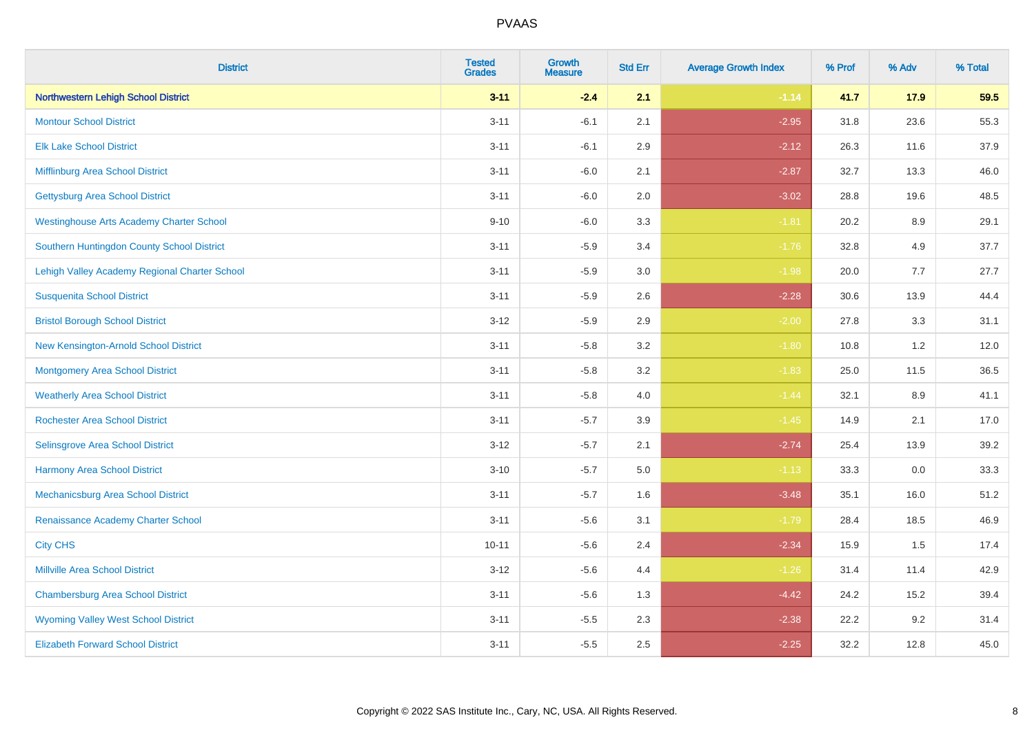| <b>District</b>                                 | <b>Tested</b><br><b>Grades</b> | <b>Growth</b><br><b>Measure</b> | <b>Std Err</b> | <b>Average Growth Index</b> | % Prof | % Adv   | % Total |
|-------------------------------------------------|--------------------------------|---------------------------------|----------------|-----------------------------|--------|---------|---------|
| <b>Northwestern Lehigh School District</b>      | $3 - 11$                       | $-2.4$                          | 2.1            | $-1.14$                     | 41.7   | 17.9    | 59.5    |
| <b>Montour School District</b>                  | $3 - 11$                       | $-6.1$                          | 2.1            | $-2.95$                     | 31.8   | 23.6    | 55.3    |
| <b>Elk Lake School District</b>                 | $3 - 11$                       | $-6.1$                          | 2.9            | $-2.12$                     | 26.3   | 11.6    | 37.9    |
| Mifflinburg Area School District                | $3 - 11$                       | $-6.0$                          | 2.1            | $-2.87$                     | 32.7   | 13.3    | 46.0    |
| <b>Gettysburg Area School District</b>          | $3 - 11$                       | $-6.0$                          | 2.0            | $-3.02$                     | 28.8   | 19.6    | 48.5    |
| <b>Westinghouse Arts Academy Charter School</b> | $9 - 10$                       | $-6.0$                          | 3.3            | $-1.81$                     | 20.2   | $8.9\,$ | 29.1    |
| Southern Huntingdon County School District      | $3 - 11$                       | $-5.9$                          | 3.4            | $-1.76$                     | 32.8   | 4.9     | 37.7    |
| Lehigh Valley Academy Regional Charter School   | $3 - 11$                       | $-5.9$                          | 3.0            | $-1.98$                     | 20.0   | 7.7     | 27.7    |
| <b>Susquenita School District</b>               | $3 - 11$                       | $-5.9$                          | 2.6            | $-2.28$                     | 30.6   | 13.9    | 44.4    |
| <b>Bristol Borough School District</b>          | $3 - 12$                       | $-5.9$                          | 2.9            | $-2.00$                     | 27.8   | 3.3     | 31.1    |
| New Kensington-Arnold School District           | $3 - 11$                       | $-5.8$                          | 3.2            | $-1.80$                     | 10.8   | 1.2     | 12.0    |
| <b>Montgomery Area School District</b>          | $3 - 11$                       | $-5.8$                          | 3.2            | $-1.83$                     | 25.0   | 11.5    | 36.5    |
| <b>Weatherly Area School District</b>           | $3 - 11$                       | $-5.8$                          | $4.0\,$        | $-1.44$                     | 32.1   | 8.9     | 41.1    |
| <b>Rochester Area School District</b>           | $3 - 11$                       | $-5.7$                          | 3.9            | $-1.45$                     | 14.9   | 2.1     | 17.0    |
| <b>Selinsgrove Area School District</b>         | $3 - 12$                       | $-5.7$                          | 2.1            | $-2.74$                     | 25.4   | 13.9    | 39.2    |
| <b>Harmony Area School District</b>             | $3 - 10$                       | $-5.7$                          | 5.0            | $-1.13$                     | 33.3   | $0.0\,$ | 33.3    |
| Mechanicsburg Area School District              | $3 - 11$                       | $-5.7$                          | 1.6            | $-3.48$                     | 35.1   | 16.0    | 51.2    |
| Renaissance Academy Charter School              | $3 - 11$                       | $-5.6$                          | 3.1            | $-1.79$                     | 28.4   | 18.5    | 46.9    |
| <b>City CHS</b>                                 | $10 - 11$                      | $-5.6$                          | 2.4            | $-2.34$                     | 15.9   | 1.5     | 17.4    |
| <b>Millville Area School District</b>           | $3 - 12$                       | $-5.6$                          | 4.4            | $-1.26$                     | 31.4   | 11.4    | 42.9    |
| <b>Chambersburg Area School District</b>        | $3 - 11$                       | $-5.6$                          | 1.3            | $-4.42$                     | 24.2   | 15.2    | 39.4    |
| <b>Wyoming Valley West School District</b>      | $3 - 11$                       | $-5.5$                          | 2.3            | $-2.38$                     | 22.2   | 9.2     | 31.4    |
| <b>Elizabeth Forward School District</b>        | $3 - 11$                       | $-5.5$                          | 2.5            | $-2.25$                     | 32.2   | 12.8    | 45.0    |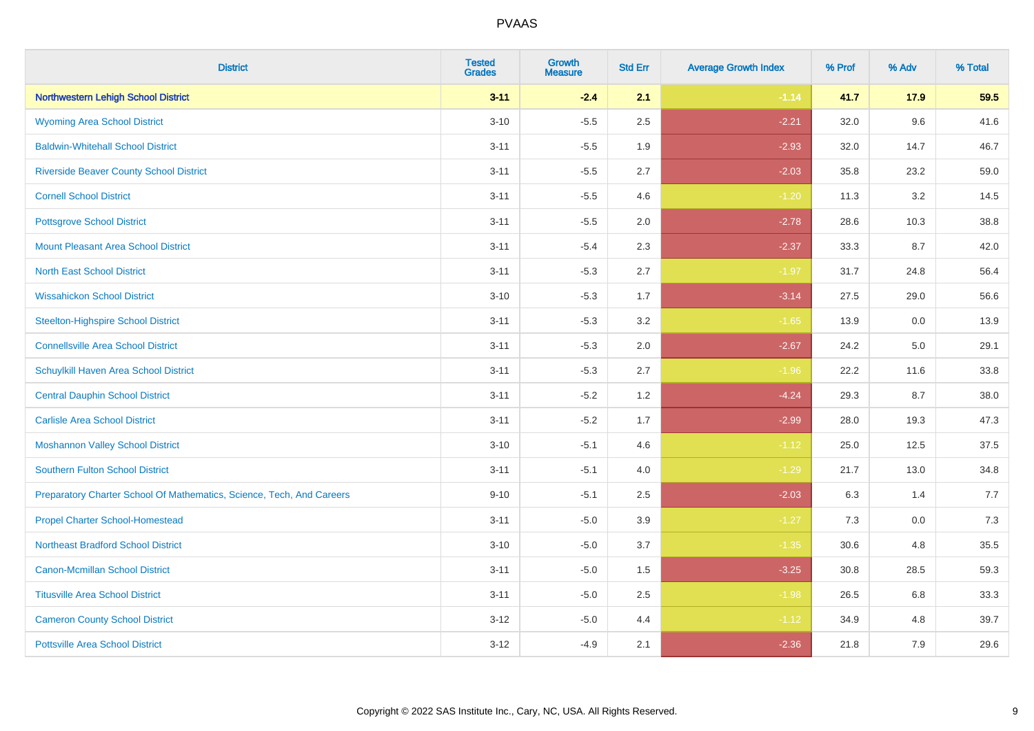| <b>District</b>                                                       | <b>Tested</b><br><b>Grades</b> | Growth<br><b>Measure</b> | <b>Std Err</b> | <b>Average Growth Index</b> | % Prof | % Adv | % Total |
|-----------------------------------------------------------------------|--------------------------------|--------------------------|----------------|-----------------------------|--------|-------|---------|
| <b>Northwestern Lehigh School District</b>                            | $3 - 11$                       | $-2.4$                   | 2.1            | $-1.14$                     | 41.7   | 17.9  | 59.5    |
| <b>Wyoming Area School District</b>                                   | $3 - 10$                       | $-5.5$                   | 2.5            | $-2.21$                     | 32.0   | 9.6   | 41.6    |
| <b>Baldwin-Whitehall School District</b>                              | $3 - 11$                       | $-5.5$                   | 1.9            | $-2.93$                     | 32.0   | 14.7  | 46.7    |
| <b>Riverside Beaver County School District</b>                        | $3 - 11$                       | $-5.5$                   | 2.7            | $-2.03$                     | 35.8   | 23.2  | 59.0    |
| <b>Cornell School District</b>                                        | $3 - 11$                       | $-5.5$                   | 4.6            | $-1.20$                     | 11.3   | 3.2   | 14.5    |
| <b>Pottsgrove School District</b>                                     | $3 - 11$                       | $-5.5$                   | 2.0            | $-2.78$                     | 28.6   | 10.3  | 38.8    |
| <b>Mount Pleasant Area School District</b>                            | $3 - 11$                       | $-5.4$                   | 2.3            | $-2.37$                     | 33.3   | 8.7   | 42.0    |
| <b>North East School District</b>                                     | $3 - 11$                       | $-5.3$                   | 2.7            | $-1.97$                     | 31.7   | 24.8  | 56.4    |
| <b>Wissahickon School District</b>                                    | $3 - 10$                       | $-5.3$                   | 1.7            | $-3.14$                     | 27.5   | 29.0  | 56.6    |
| <b>Steelton-Highspire School District</b>                             | $3 - 11$                       | $-5.3$                   | 3.2            | $-1.65$                     | 13.9   | 0.0   | 13.9    |
| <b>Connellsville Area School District</b>                             | $3 - 11$                       | $-5.3$                   | 2.0            | $-2.67$                     | 24.2   | 5.0   | 29.1    |
| Schuylkill Haven Area School District                                 | $3 - 11$                       | $-5.3$                   | 2.7            | $-1.96$                     | 22.2   | 11.6  | 33.8    |
| <b>Central Dauphin School District</b>                                | $3 - 11$                       | $-5.2$                   | 1.2            | $-4.24$                     | 29.3   | 8.7   | 38.0    |
| <b>Carlisle Area School District</b>                                  | $3 - 11$                       | $-5.2$                   | 1.7            | $-2.99$                     | 28.0   | 19.3  | 47.3    |
| <b>Moshannon Valley School District</b>                               | $3 - 10$                       | $-5.1$                   | 4.6            | $-1.12$                     | 25.0   | 12.5  | 37.5    |
| <b>Southern Fulton School District</b>                                | $3 - 11$                       | $-5.1$                   | 4.0            | $-1.29$                     | 21.7   | 13.0  | 34.8    |
| Preparatory Charter School Of Mathematics, Science, Tech, And Careers | $9 - 10$                       | $-5.1$                   | 2.5            | $-2.03$                     | 6.3    | 1.4   | 7.7     |
| <b>Propel Charter School-Homestead</b>                                | $3 - 11$                       | $-5.0$                   | 3.9            | $-1.27$                     | 7.3    | 0.0   | 7.3     |
| <b>Northeast Bradford School District</b>                             | $3 - 10$                       | $-5.0$                   | 3.7            | $-1.35$                     | 30.6   | 4.8   | 35.5    |
| <b>Canon-Mcmillan School District</b>                                 | $3 - 11$                       | $-5.0$                   | 1.5            | $-3.25$                     | 30.8   | 28.5  | 59.3    |
| <b>Titusville Area School District</b>                                | $3 - 11$                       | $-5.0$                   | 2.5            | $-1.98$                     | 26.5   | 6.8   | 33.3    |
| <b>Cameron County School District</b>                                 | $3-12$                         | $-5.0$                   | 4.4            | $-1.12$                     | 34.9   | 4.8   | 39.7    |
| <b>Pottsville Area School District</b>                                | $3 - 12$                       | $-4.9$                   | 2.1            | $-2.36$                     | 21.8   | 7.9   | 29.6    |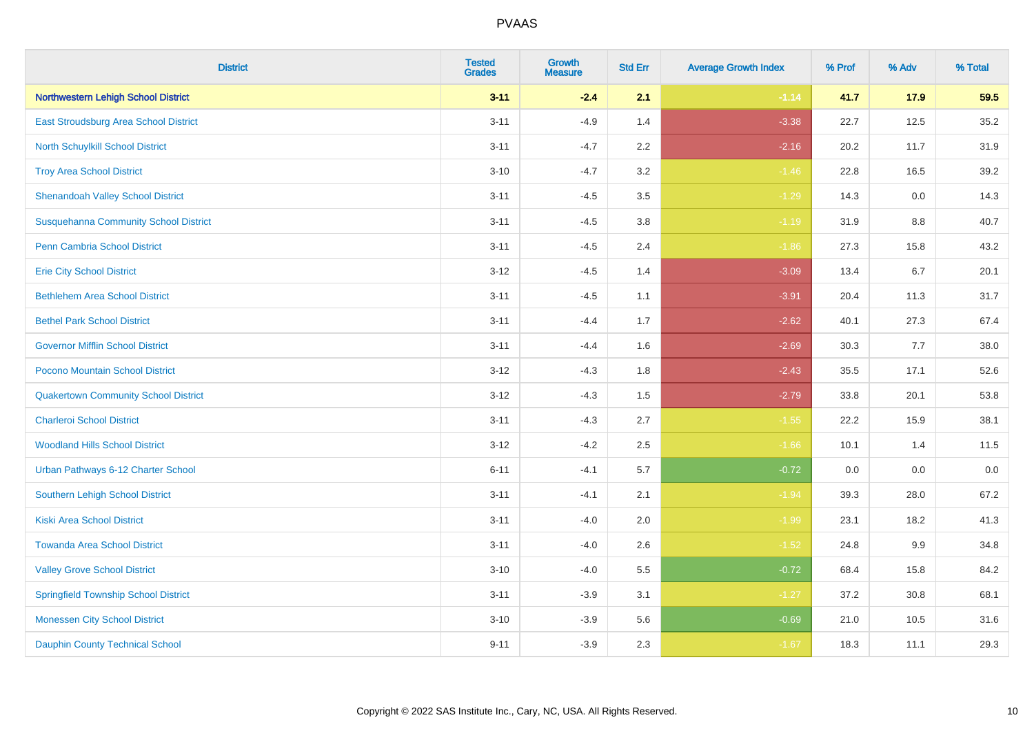| <b>District</b>                              | <b>Tested</b><br><b>Grades</b> | <b>Growth</b><br><b>Measure</b> | <b>Std Err</b> | <b>Average Growth Index</b> | % Prof | % Adv   | % Total |
|----------------------------------------------|--------------------------------|---------------------------------|----------------|-----------------------------|--------|---------|---------|
| <b>Northwestern Lehigh School District</b>   | $3 - 11$                       | $-2.4$                          | 2.1            | $-1.14$                     | 41.7   | 17.9    | 59.5    |
| East Stroudsburg Area School District        | $3 - 11$                       | $-4.9$                          | 1.4            | $-3.38$                     | 22.7   | 12.5    | 35.2    |
| <b>North Schuylkill School District</b>      | $3 - 11$                       | $-4.7$                          | 2.2            | $-2.16$                     | 20.2   | 11.7    | 31.9    |
| <b>Troy Area School District</b>             | $3 - 10$                       | $-4.7$                          | 3.2            | $-1.46$                     | 22.8   | 16.5    | 39.2    |
| <b>Shenandoah Valley School District</b>     | $3 - 11$                       | $-4.5$                          | 3.5            | $-1.29$                     | 14.3   | 0.0     | 14.3    |
| <b>Susquehanna Community School District</b> | $3 - 11$                       | $-4.5$                          | 3.8            | $-1.19$                     | 31.9   | 8.8     | 40.7    |
| <b>Penn Cambria School District</b>          | $3 - 11$                       | $-4.5$                          | 2.4            | $-1.86$                     | 27.3   | 15.8    | 43.2    |
| <b>Erie City School District</b>             | $3 - 12$                       | $-4.5$                          | 1.4            | $-3.09$                     | 13.4   | 6.7     | 20.1    |
| <b>Bethlehem Area School District</b>        | $3 - 11$                       | $-4.5$                          | 1.1            | $-3.91$                     | 20.4   | 11.3    | 31.7    |
| <b>Bethel Park School District</b>           | $3 - 11$                       | $-4.4$                          | 1.7            | $-2.62$                     | 40.1   | 27.3    | 67.4    |
| <b>Governor Mifflin School District</b>      | $3 - 11$                       | $-4.4$                          | 1.6            | $-2.69$                     | 30.3   | 7.7     | 38.0    |
| Pocono Mountain School District              | $3 - 12$                       | $-4.3$                          | 1.8            | $-2.43$                     | 35.5   | 17.1    | 52.6    |
| <b>Quakertown Community School District</b>  | $3 - 12$                       | $-4.3$                          | $1.5$          | $-2.79$                     | 33.8   | 20.1    | 53.8    |
| <b>Charleroi School District</b>             | $3 - 11$                       | $-4.3$                          | 2.7            | $-1.55$                     | 22.2   | 15.9    | 38.1    |
| <b>Woodland Hills School District</b>        | $3 - 12$                       | $-4.2$                          | 2.5            | $-1.66$                     | 10.1   | 1.4     | 11.5    |
| Urban Pathways 6-12 Charter School           | $6 - 11$                       | $-4.1$                          | 5.7            | $-0.72$                     | 0.0    | $0.0\,$ | $0.0\,$ |
| <b>Southern Lehigh School District</b>       | $3 - 11$                       | $-4.1$                          | 2.1            | $-1.94$                     | 39.3   | 28.0    | 67.2    |
| <b>Kiski Area School District</b>            | $3 - 11$                       | $-4.0$                          | 2.0            | $-1.99$                     | 23.1   | 18.2    | 41.3    |
| <b>Towanda Area School District</b>          | $3 - 11$                       | $-4.0$                          | 2.6            | $-1.52$                     | 24.8   | 9.9     | 34.8    |
| <b>Valley Grove School District</b>          | $3 - 10$                       | $-4.0$                          | 5.5            | $-0.72$                     | 68.4   | 15.8    | 84.2    |
| <b>Springfield Township School District</b>  | $3 - 11$                       | $-3.9$                          | 3.1            | $-1.27$                     | 37.2   | 30.8    | 68.1    |
| <b>Monessen City School District</b>         | $3 - 10$                       | $-3.9$                          | 5.6            | $-0.69$                     | 21.0   | 10.5    | 31.6    |
| <b>Dauphin County Technical School</b>       | $9 - 11$                       | $-3.9$                          | 2.3            | $-1.67$                     | 18.3   | 11.1    | 29.3    |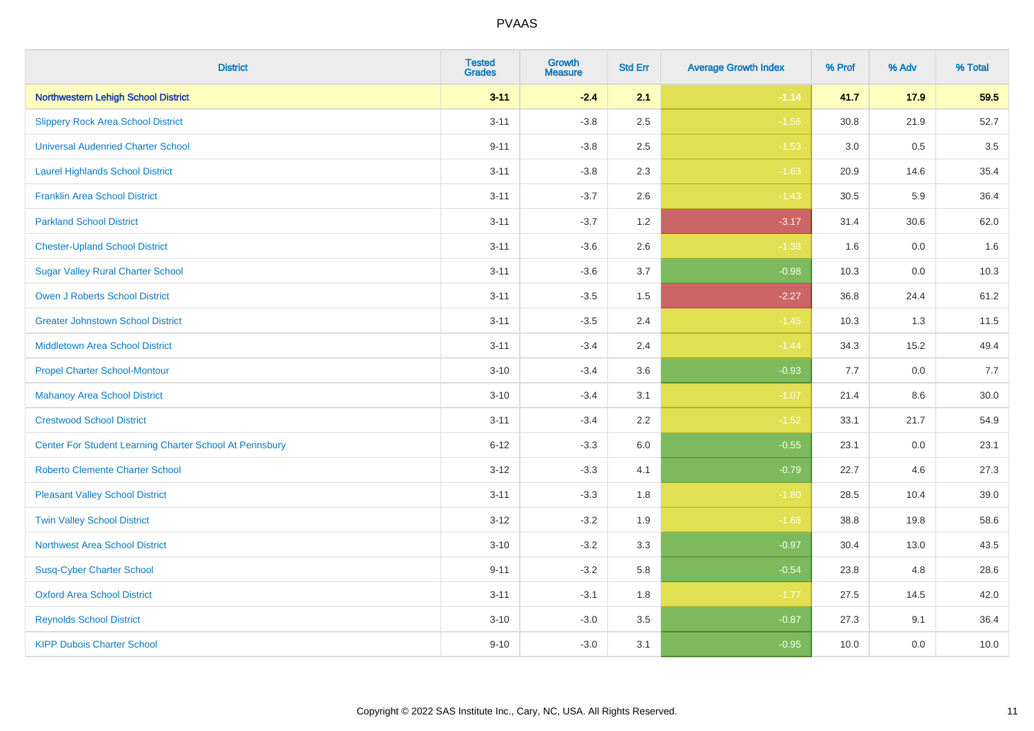| <b>District</b>                                         | <b>Tested</b><br><b>Grades</b> | <b>Growth</b><br><b>Measure</b> | <b>Std Err</b> | <b>Average Growth Index</b> | % Prof | % Adv   | % Total  |
|---------------------------------------------------------|--------------------------------|---------------------------------|----------------|-----------------------------|--------|---------|----------|
| <b>Northwestern Lehigh School District</b>              | $3 - 11$                       | $-2.4$                          | 2.1            | $-1.14$                     | 41.7   | 17.9    | 59.5     |
| <b>Slippery Rock Area School District</b>               | $3 - 11$                       | $-3.8$                          | 2.5            | $-1.56$                     | 30.8   | 21.9    | 52.7     |
| <b>Universal Audenried Charter School</b>               | $9 - 11$                       | $-3.8$                          | 2.5            | $-1.53$                     | 3.0    | 0.5     | 3.5      |
| <b>Laurel Highlands School District</b>                 | $3 - 11$                       | $-3.8$                          | 2.3            | $-1.63$                     | 20.9   | 14.6    | 35.4     |
| <b>Franklin Area School District</b>                    | $3 - 11$                       | $-3.7$                          | 2.6            | $-1.43$                     | 30.5   | 5.9     | 36.4     |
| <b>Parkland School District</b>                         | $3 - 11$                       | $-3.7$                          | 1.2            | $-3.17$                     | 31.4   | 30.6    | 62.0     |
| <b>Chester-Upland School District</b>                   | $3 - 11$                       | $-3.6$                          | 2.6            | $-1.38$                     | 1.6    | 0.0     | 1.6      |
| <b>Sugar Valley Rural Charter School</b>                | $3 - 11$                       | $-3.6$                          | 3.7            | $-0.98$                     | 10.3   | 0.0     | 10.3     |
| <b>Owen J Roberts School District</b>                   | $3 - 11$                       | $-3.5$                          | 1.5            | $-2.27$                     | 36.8   | 24.4    | 61.2     |
| <b>Greater Johnstown School District</b>                | $3 - 11$                       | $-3.5$                          | 2.4            | $-1.45$                     | 10.3   | 1.3     | 11.5     |
| <b>Middletown Area School District</b>                  | $3 - 11$                       | $-3.4$                          | 2.4            | $-1.44$                     | 34.3   | 15.2    | 49.4     |
| <b>Propel Charter School-Montour</b>                    | $3 - 10$                       | $-3.4$                          | 3.6            | $-0.93$                     | 7.7    | 0.0     | 7.7      |
| <b>Mahanoy Area School District</b>                     | $3 - 10$                       | $-3.4$                          | 3.1            | $-1.07$                     | 21.4   | $8.6\,$ | $30.0\,$ |
| <b>Crestwood School District</b>                        | $3 - 11$                       | $-3.4$                          | 2.2            | $-1.52$                     | 33.1   | 21.7    | 54.9     |
| Center For Student Learning Charter School At Pennsbury | $6 - 12$                       | $-3.3$                          | 6.0            | $-0.55$                     | 23.1   | 0.0     | 23.1     |
| <b>Roberto Clemente Charter School</b>                  | $3 - 12$                       | $-3.3$                          | 4.1            | $-0.79$                     | 22.7   | 4.6     | 27.3     |
| <b>Pleasant Valley School District</b>                  | $3 - 11$                       | $-3.3$                          | 1.8            | $-1.80$                     | 28.5   | 10.4    | 39.0     |
| <b>Twin Valley School District</b>                      | $3 - 12$                       | $-3.2$                          | 1.9            | $-1.68$                     | 38.8   | 19.8    | 58.6     |
| <b>Northwest Area School District</b>                   | $3 - 10$                       | $-3.2$                          | 3.3            | $-0.97$                     | 30.4   | 13.0    | 43.5     |
| <b>Susq-Cyber Charter School</b>                        | $9 - 11$                       | $-3.2$                          | 5.8            | $-0.54$                     | 23.8   | 4.8     | 28.6     |
| <b>Oxford Area School District</b>                      | $3 - 11$                       | $-3.1$                          | 1.8            | $-1.77$                     | 27.5   | 14.5    | 42.0     |
| <b>Reynolds School District</b>                         | $3 - 10$                       | $-3.0$                          | 3.5            | $-0.87$                     | 27.3   | 9.1     | 36.4     |
| <b>KIPP Dubois Charter School</b>                       | $9 - 10$                       | $-3.0$                          | 3.1            | $-0.95$                     | 10.0   | 0.0     | 10.0     |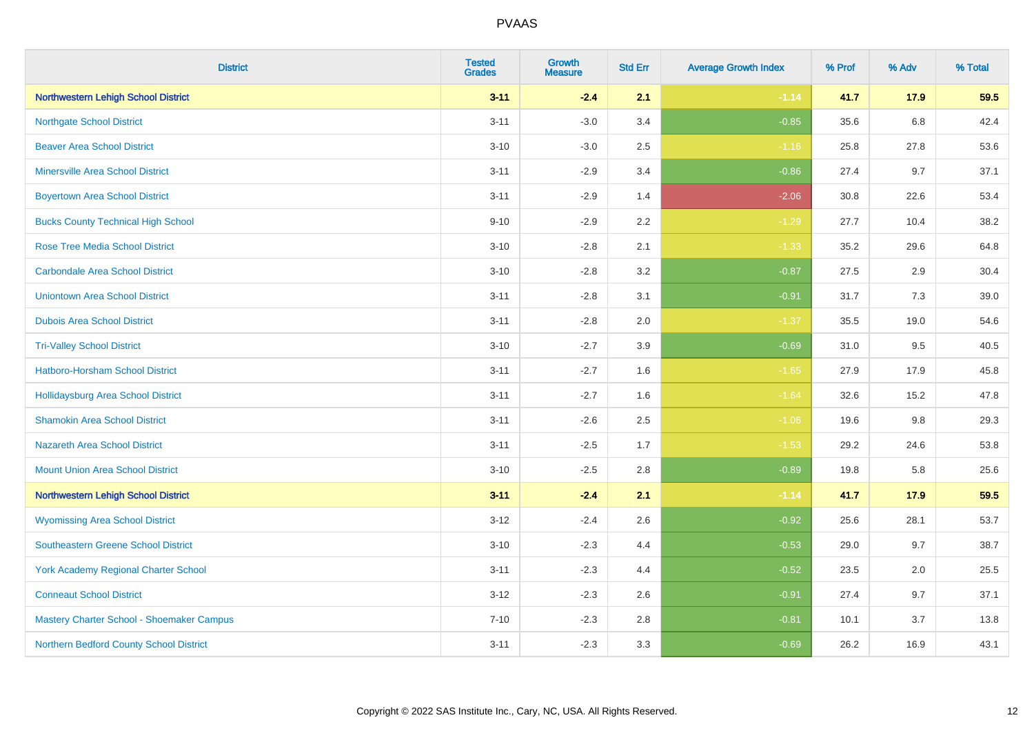| <b>District</b>                             | <b>Tested</b><br><b>Grades</b> | <b>Growth</b><br><b>Measure</b> | <b>Std Err</b> | <b>Average Growth Index</b> | % Prof | % Adv   | % Total |
|---------------------------------------------|--------------------------------|---------------------------------|----------------|-----------------------------|--------|---------|---------|
| Northwestern Lehigh School District         | $3 - 11$                       | $-2.4$                          | 2.1            | $-1.14$                     | 41.7   | 17.9    | 59.5    |
| <b>Northgate School District</b>            | $3 - 11$                       | $-3.0$                          | 3.4            | $-0.85$                     | 35.6   | $6.8\,$ | 42.4    |
| <b>Beaver Area School District</b>          | $3 - 10$                       | $-3.0$                          | 2.5            | $-1.16$                     | 25.8   | 27.8    | 53.6    |
| <b>Minersville Area School District</b>     | $3 - 11$                       | $-2.9$                          | 3.4            | $-0.86$                     | 27.4   | 9.7     | 37.1    |
| <b>Boyertown Area School District</b>       | $3 - 11$                       | $-2.9$                          | 1.4            | $-2.06$                     | 30.8   | 22.6    | 53.4    |
| <b>Bucks County Technical High School</b>   | $9 - 10$                       | $-2.9$                          | 2.2            | $-1.29$                     | 27.7   | 10.4    | 38.2    |
| <b>Rose Tree Media School District</b>      | $3 - 10$                       | $-2.8$                          | 2.1            | $-1.33$                     | 35.2   | 29.6    | 64.8    |
| <b>Carbondale Area School District</b>      | $3 - 10$                       | $-2.8$                          | 3.2            | $-0.87$                     | 27.5   | 2.9     | 30.4    |
| <b>Uniontown Area School District</b>       | $3 - 11$                       | $-2.8$                          | 3.1            | $-0.91$                     | 31.7   | 7.3     | 39.0    |
| <b>Dubois Area School District</b>          | $3 - 11$                       | $-2.8$                          | 2.0            | $-1.37$                     | 35.5   | 19.0    | 54.6    |
| <b>Tri-Valley School District</b>           | $3 - 10$                       | $-2.7$                          | 3.9            | $-0.69$                     | 31.0   | 9.5     | 40.5    |
| Hatboro-Horsham School District             | $3 - 11$                       | $-2.7$                          | 1.6            | $-1.65$                     | 27.9   | 17.9    | 45.8    |
| <b>Hollidaysburg Area School District</b>   | $3 - 11$                       | $-2.7$                          | 1.6            | $-1.64$                     | 32.6   | 15.2    | 47.8    |
| <b>Shamokin Area School District</b>        | $3 - 11$                       | $-2.6$                          | 2.5            | $-1.06$                     | 19.6   | 9.8     | 29.3    |
| <b>Nazareth Area School District</b>        | $3 - 11$                       | $-2.5$                          | 1.7            | $-1.53$                     | 29.2   | 24.6    | 53.8    |
| <b>Mount Union Area School District</b>     | $3 - 10$                       | $-2.5$                          | 2.8            | $-0.89$                     | 19.8   | 5.8     | 25.6    |
| Northwestern Lehigh School District         | $3 - 11$                       | $-2.4$                          | 2.1            | $-1.14$                     | 41.7   | 17.9    | 59.5    |
| <b>Wyomissing Area School District</b>      | $3 - 12$                       | $-2.4$                          | 2.6            | $-0.92$                     | 25.6   | 28.1    | 53.7    |
| <b>Southeastern Greene School District</b>  | $3 - 10$                       | $-2.3$                          | 4.4            | $-0.53$                     | 29.0   | 9.7     | 38.7    |
| <b>York Academy Regional Charter School</b> | $3 - 11$                       | $-2.3$                          | 4.4            | $-0.52$                     | 23.5   | 2.0     | 25.5    |
| <b>Conneaut School District</b>             | $3-12$                         | $-2.3$                          | 2.6            | $-0.91$                     | 27.4   | 9.7     | 37.1    |
| Mastery Charter School - Shoemaker Campus   | $7 - 10$                       | $-2.3$                          | 2.8            | $-0.81$                     | 10.1   | 3.7     | 13.8    |
| Northern Bedford County School District     | $3 - 11$                       | $-2.3$                          | 3.3            | $-0.69$                     | 26.2   | 16.9    | 43.1    |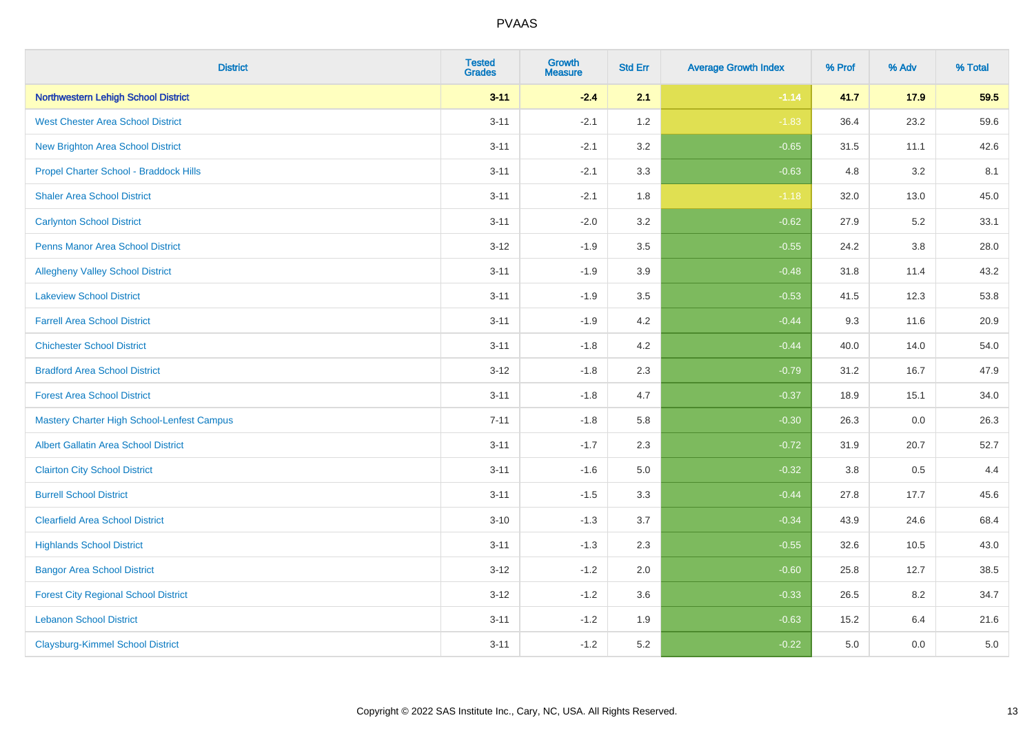| <b>District</b>                                   | <b>Tested</b><br><b>Grades</b> | <b>Growth</b><br><b>Measure</b> | <b>Std Err</b> | <b>Average Growth Index</b> | % Prof | % Adv   | % Total |
|---------------------------------------------------|--------------------------------|---------------------------------|----------------|-----------------------------|--------|---------|---------|
| <b>Northwestern Lehigh School District</b>        | $3 - 11$                       | $-2.4$                          | 2.1            | $-1.14$                     | 41.7   | 17.9    | 59.5    |
| <b>West Chester Area School District</b>          | $3 - 11$                       | $-2.1$                          | 1.2            | $-1.83$                     | 36.4   | 23.2    | 59.6    |
| <b>New Brighton Area School District</b>          | $3 - 11$                       | $-2.1$                          | 3.2            | $-0.65$                     | 31.5   | 11.1    | 42.6    |
| Propel Charter School - Braddock Hills            | $3 - 11$                       | $-2.1$                          | 3.3            | $-0.63$                     | 4.8    | 3.2     | 8.1     |
| <b>Shaler Area School District</b>                | $3 - 11$                       | $-2.1$                          | 1.8            | $-1.18$                     | 32.0   | 13.0    | 45.0    |
| <b>Carlynton School District</b>                  | $3 - 11$                       | $-2.0$                          | 3.2            | $-0.62$                     | 27.9   | 5.2     | 33.1    |
| <b>Penns Manor Area School District</b>           | $3 - 12$                       | $-1.9$                          | 3.5            | $-0.55$                     | 24.2   | 3.8     | 28.0    |
| <b>Allegheny Valley School District</b>           | $3 - 11$                       | $-1.9$                          | 3.9            | $-0.48$                     | 31.8   | 11.4    | 43.2    |
| <b>Lakeview School District</b>                   | $3 - 11$                       | $-1.9$                          | 3.5            | $-0.53$                     | 41.5   | 12.3    | 53.8    |
| <b>Farrell Area School District</b>               | $3 - 11$                       | $-1.9$                          | 4.2            | $-0.44$                     | 9.3    | 11.6    | 20.9    |
| <b>Chichester School District</b>                 | $3 - 11$                       | $-1.8$                          | 4.2            | $-0.44$                     | 40.0   | 14.0    | 54.0    |
| <b>Bradford Area School District</b>              | $3 - 12$                       | $-1.8$                          | 2.3            | $-0.79$                     | 31.2   | 16.7    | 47.9    |
| <b>Forest Area School District</b>                | $3 - 11$                       | $-1.8$                          | 4.7            | $-0.37$                     | 18.9   | 15.1    | 34.0    |
| <b>Mastery Charter High School-Lenfest Campus</b> | $7 - 11$                       | $-1.8$                          | 5.8            | $-0.30$                     | 26.3   | 0.0     | 26.3    |
| <b>Albert Gallatin Area School District</b>       | $3 - 11$                       | $-1.7$                          | 2.3            | $-0.72$                     | 31.9   | 20.7    | 52.7    |
| <b>Clairton City School District</b>              | $3 - 11$                       | $-1.6$                          | 5.0            | $-0.32$                     | 3.8    | $0.5\,$ | 4.4     |
| <b>Burrell School District</b>                    | $3 - 11$                       | $-1.5$                          | 3.3            | $-0.44$                     | 27.8   | 17.7    | 45.6    |
| <b>Clearfield Area School District</b>            | $3 - 10$                       | $-1.3$                          | 3.7            | $-0.34$                     | 43.9   | 24.6    | 68.4    |
| <b>Highlands School District</b>                  | $3 - 11$                       | $-1.3$                          | 2.3            | $-0.55$                     | 32.6   | 10.5    | 43.0    |
| <b>Bangor Area School District</b>                | $3 - 12$                       | $-1.2$                          | 2.0            | $-0.60$                     | 25.8   | 12.7    | 38.5    |
| <b>Forest City Regional School District</b>       | $3 - 12$                       | $-1.2$                          | 3.6            | $-0.33$                     | 26.5   | 8.2     | 34.7    |
| <b>Lebanon School District</b>                    | $3 - 11$                       | $-1.2$                          | 1.9            | $-0.63$                     | 15.2   | 6.4     | 21.6    |
| <b>Claysburg-Kimmel School District</b>           | $3 - 11$                       | $-1.2$                          | 5.2            | $-0.22$                     | 5.0    | 0.0     | 5.0     |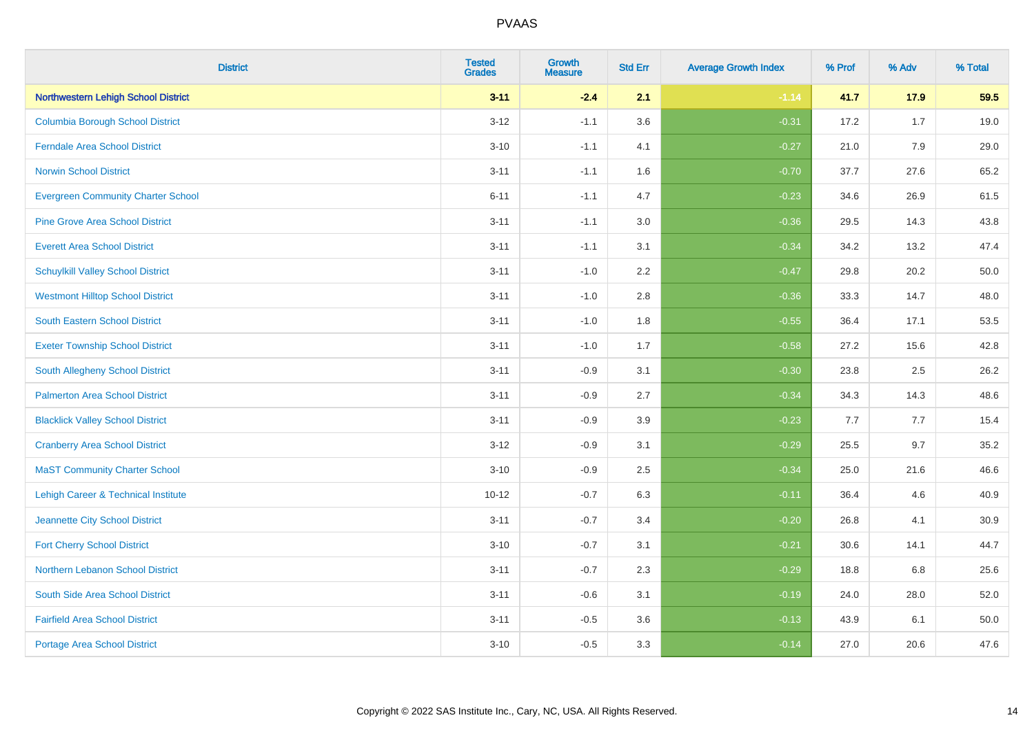| <b>District</b>                            | <b>Tested</b><br><b>Grades</b> | <b>Growth</b><br><b>Measure</b> | <b>Std Err</b> | <b>Average Growth Index</b> | % Prof | % Adv | % Total |
|--------------------------------------------|--------------------------------|---------------------------------|----------------|-----------------------------|--------|-------|---------|
| <b>Northwestern Lehigh School District</b> | $3 - 11$                       | $-2.4$                          | 2.1            | $-1.14$                     | 41.7   | 17.9  | 59.5    |
| Columbia Borough School District           | $3 - 12$                       | $-1.1$                          | 3.6            | $-0.31$                     | 17.2   | 1.7   | 19.0    |
| <b>Ferndale Area School District</b>       | $3 - 10$                       | $-1.1$                          | 4.1            | $-0.27$                     | 21.0   | 7.9   | 29.0    |
| <b>Norwin School District</b>              | $3 - 11$                       | $-1.1$                          | 1.6            | $-0.70$                     | 37.7   | 27.6  | 65.2    |
| <b>Evergreen Community Charter School</b>  | $6 - 11$                       | $-1.1$                          | 4.7            | $-0.23$                     | 34.6   | 26.9  | 61.5    |
| <b>Pine Grove Area School District</b>     | $3 - 11$                       | $-1.1$                          | 3.0            | $-0.36$                     | 29.5   | 14.3  | 43.8    |
| <b>Everett Area School District</b>        | $3 - 11$                       | $-1.1$                          | 3.1            | $-0.34$                     | 34.2   | 13.2  | 47.4    |
| <b>Schuylkill Valley School District</b>   | $3 - 11$                       | $-1.0$                          | 2.2            | $-0.47$                     | 29.8   | 20.2  | 50.0    |
| <b>Westmont Hilltop School District</b>    | $3 - 11$                       | $-1.0$                          | 2.8            | $-0.36$                     | 33.3   | 14.7  | 48.0    |
| South Eastern School District              | $3 - 11$                       | $-1.0$                          | 1.8            | $-0.55$                     | 36.4   | 17.1  | 53.5    |
| <b>Exeter Township School District</b>     | $3 - 11$                       | $-1.0$                          | 1.7            | $-0.58$                     | 27.2   | 15.6  | 42.8    |
| South Allegheny School District            | $3 - 11$                       | $-0.9$                          | 3.1            | $-0.30$                     | 23.8   | 2.5   | 26.2    |
| <b>Palmerton Area School District</b>      | $3 - 11$                       | $-0.9$                          | 2.7            | $-0.34$                     | 34.3   | 14.3  | 48.6    |
| <b>Blacklick Valley School District</b>    | $3 - 11$                       | $-0.9$                          | 3.9            | $-0.23$                     | 7.7    | 7.7   | 15.4    |
| <b>Cranberry Area School District</b>      | $3 - 12$                       | $-0.9$                          | 3.1            | $-0.29$                     | 25.5   | 9.7   | 35.2    |
| <b>MaST Community Charter School</b>       | $3 - 10$                       | $-0.9$                          | 2.5            | $-0.34$                     | 25.0   | 21.6  | 46.6    |
| Lehigh Career & Technical Institute        | $10 - 12$                      | $-0.7$                          | 6.3            | $-0.11$                     | 36.4   | 4.6   | 40.9    |
| Jeannette City School District             | $3 - 11$                       | $-0.7$                          | 3.4            | $-0.20$                     | 26.8   | 4.1   | 30.9    |
| <b>Fort Cherry School District</b>         | $3 - 10$                       | $-0.7$                          | 3.1            | $-0.21$                     | 30.6   | 14.1  | 44.7    |
| Northern Lebanon School District           | $3 - 11$                       | $-0.7$                          | 2.3            | $-0.29$                     | 18.8   | 6.8   | 25.6    |
| South Side Area School District            | $3 - 11$                       | $-0.6$                          | 3.1            | $-0.19$                     | 24.0   | 28.0  | 52.0    |
| <b>Fairfield Area School District</b>      | $3 - 11$                       | $-0.5$                          | 3.6            | $-0.13$                     | 43.9   | 6.1   | 50.0    |
| <b>Portage Area School District</b>        | $3 - 10$                       | $-0.5$                          | 3.3            | $-0.14$                     | 27.0   | 20.6  | 47.6    |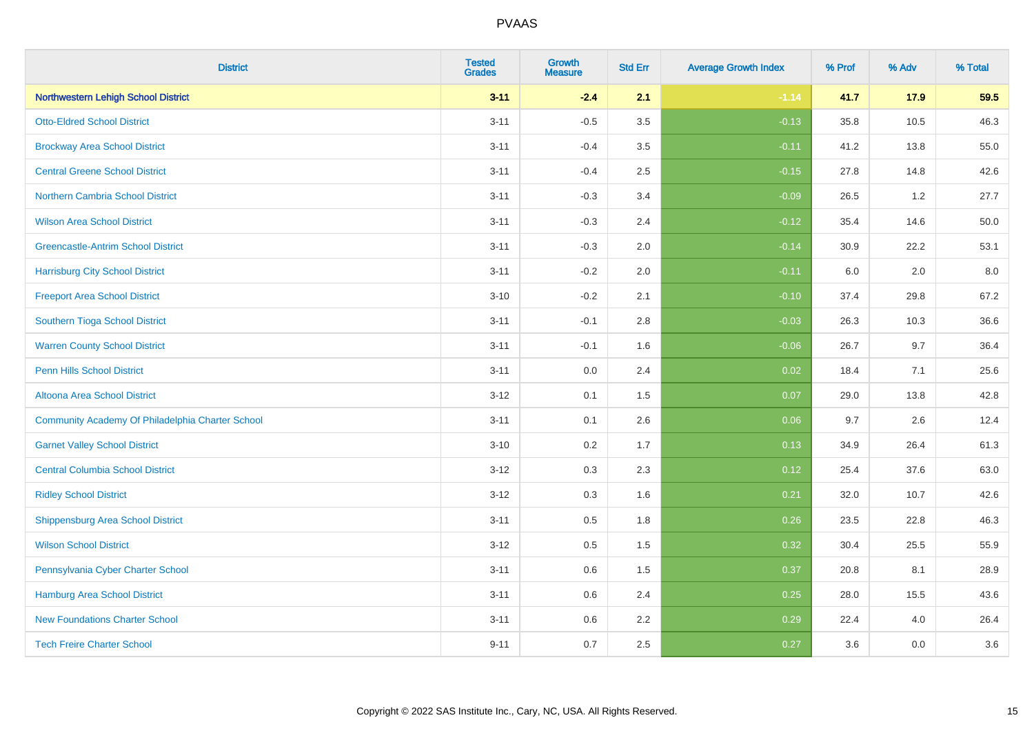| <b>District</b>                                  | <b>Tested</b><br><b>Grades</b> | <b>Growth</b><br><b>Measure</b> | <b>Std Err</b> | <b>Average Growth Index</b> | % Prof | % Adv | % Total |
|--------------------------------------------------|--------------------------------|---------------------------------|----------------|-----------------------------|--------|-------|---------|
| <b>Northwestern Lehigh School District</b>       | $3 - 11$                       | $-2.4$                          | 2.1            | $-1.14$                     | 41.7   | 17.9  | 59.5    |
| <b>Otto-Eldred School District</b>               | $3 - 11$                       | $-0.5$                          | 3.5            | $-0.13$                     | 35.8   | 10.5  | 46.3    |
| <b>Brockway Area School District</b>             | $3 - 11$                       | $-0.4$                          | 3.5            | $-0.11$                     | 41.2   | 13.8  | 55.0    |
| <b>Central Greene School District</b>            | $3 - 11$                       | $-0.4$                          | 2.5            | $-0.15$                     | 27.8   | 14.8  | 42.6    |
| <b>Northern Cambria School District</b>          | $3 - 11$                       | $-0.3$                          | 3.4            | $-0.09$                     | 26.5   | 1.2   | 27.7    |
| <b>Wilson Area School District</b>               | $3 - 11$                       | $-0.3$                          | 2.4            | $-0.12$                     | 35.4   | 14.6  | 50.0    |
| <b>Greencastle-Antrim School District</b>        | $3 - 11$                       | $-0.3$                          | 2.0            | $-0.14$                     | 30.9   | 22.2  | 53.1    |
| <b>Harrisburg City School District</b>           | $3 - 11$                       | $-0.2$                          | 2.0            | $-0.11$                     | 6.0    | 2.0   | 8.0     |
| <b>Freeport Area School District</b>             | $3 - 10$                       | $-0.2$                          | 2.1            | $-0.10$                     | 37.4   | 29.8  | 67.2    |
| Southern Tioga School District                   | $3 - 11$                       | $-0.1$                          | 2.8            | $-0.03$                     | 26.3   | 10.3  | 36.6    |
| <b>Warren County School District</b>             | $3 - 11$                       | $-0.1$                          | 1.6            | $-0.06$                     | 26.7   | 9.7   | 36.4    |
| <b>Penn Hills School District</b>                | $3 - 11$                       | 0.0                             | 2.4            | 0.02                        | 18.4   | 7.1   | 25.6    |
| Altoona Area School District                     | $3 - 12$                       | 0.1                             | 1.5            | 0.07                        | 29.0   | 13.8  | 42.8    |
| Community Academy Of Philadelphia Charter School | $3 - 11$                       | 0.1                             | 2.6            | 0.06                        | 9.7    | 2.6   | 12.4    |
| <b>Garnet Valley School District</b>             | $3 - 10$                       | 0.2                             | 1.7            | 0.13                        | 34.9   | 26.4  | 61.3    |
| <b>Central Columbia School District</b>          | $3 - 12$                       | 0.3                             | 2.3            | 0.12                        | 25.4   | 37.6  | 63.0    |
| <b>Ridley School District</b>                    | $3 - 12$                       | 0.3                             | 1.6            | 0.21                        | 32.0   | 10.7  | 42.6    |
| <b>Shippensburg Area School District</b>         | $3 - 11$                       | 0.5                             | 1.8            | 0.26                        | 23.5   | 22.8  | 46.3    |
| <b>Wilson School District</b>                    | $3 - 12$                       | 0.5                             | 1.5            | 0.32                        | 30.4   | 25.5  | 55.9    |
| Pennsylvania Cyber Charter School                | $3 - 11$                       | 0.6                             | 1.5            | 0.37                        | 20.8   | 8.1   | 28.9    |
| <b>Hamburg Area School District</b>              | $3 - 11$                       | 0.6                             | 2.4            | 0.25                        | 28.0   | 15.5  | 43.6    |
| <b>New Foundations Charter School</b>            | $3 - 11$                       | 0.6                             | 2.2            | 0.29                        | 22.4   | 4.0   | 26.4    |
| <b>Tech Freire Charter School</b>                | $9 - 11$                       | 0.7                             | 2.5            | 0.27                        | 3.6    | 0.0   | 3.6     |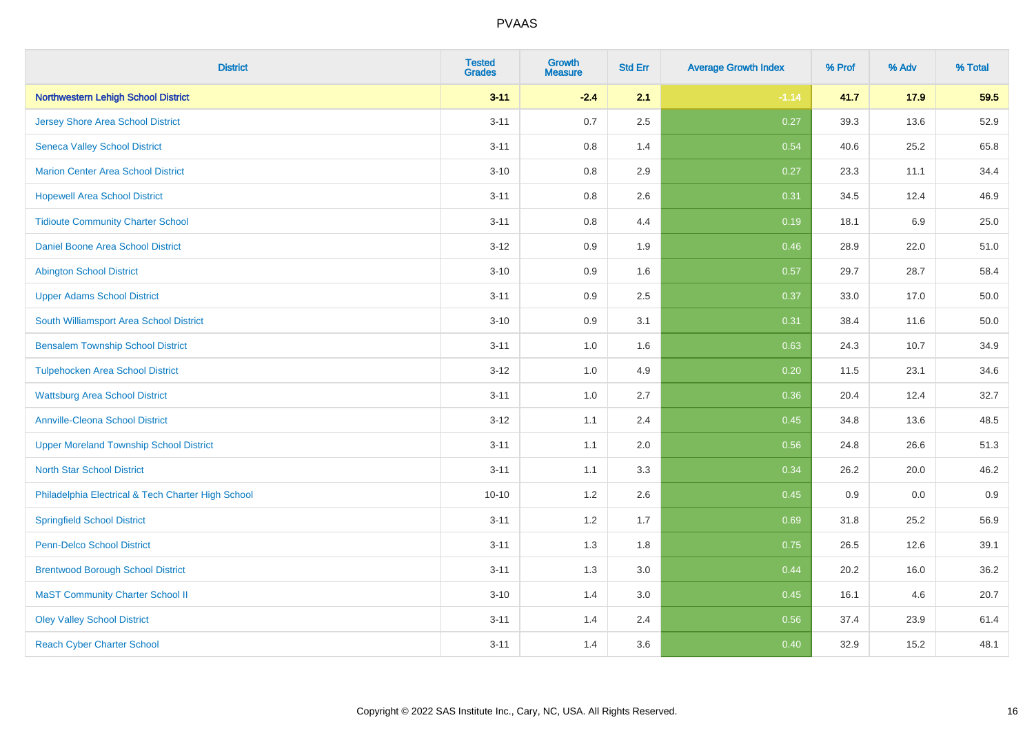| <b>District</b>                                    | <b>Tested</b><br><b>Grades</b> | <b>Growth</b><br><b>Measure</b> | <b>Std Err</b> | <b>Average Growth Index</b> | % Prof | % Adv   | % Total |
|----------------------------------------------------|--------------------------------|---------------------------------|----------------|-----------------------------|--------|---------|---------|
| <b>Northwestern Lehigh School District</b>         | $3 - 11$                       | $-2.4$                          | 2.1            | $-1.14$                     | 41.7   | 17.9    | 59.5    |
| <b>Jersey Shore Area School District</b>           | $3 - 11$                       | 0.7                             | 2.5            | 0.27                        | 39.3   | 13.6    | 52.9    |
| <b>Seneca Valley School District</b>               | $3 - 11$                       | 0.8                             | 1.4            | 0.54                        | 40.6   | 25.2    | 65.8    |
| <b>Marion Center Area School District</b>          | $3 - 10$                       | 0.8                             | 2.9            | 0.27                        | 23.3   | 11.1    | 34.4    |
| <b>Hopewell Area School District</b>               | $3 - 11$                       | 0.8                             | 2.6            | 0.31                        | 34.5   | 12.4    | 46.9    |
| <b>Tidioute Community Charter School</b>           | $3 - 11$                       | 0.8                             | 4.4            | 0.19                        | 18.1   | $6.9\,$ | 25.0    |
| Daniel Boone Area School District                  | $3 - 12$                       | 0.9                             | 1.9            | 0.46                        | 28.9   | 22.0    | 51.0    |
| <b>Abington School District</b>                    | $3 - 10$                       | 0.9                             | 1.6            | 0.57                        | 29.7   | 28.7    | 58.4    |
| <b>Upper Adams School District</b>                 | $3 - 11$                       | 0.9                             | 2.5            | 0.37                        | 33.0   | 17.0    | 50.0    |
| South Williamsport Area School District            | $3 - 10$                       | 0.9                             | 3.1            | 0.31                        | 38.4   | 11.6    | 50.0    |
| <b>Bensalem Township School District</b>           | $3 - 11$                       | 1.0                             | 1.6            | 0.63                        | 24.3   | 10.7    | 34.9    |
| <b>Tulpehocken Area School District</b>            | $3 - 12$                       | 1.0                             | 4.9            | 0.20                        | 11.5   | 23.1    | 34.6    |
| <b>Wattsburg Area School District</b>              | $3 - 11$                       | $1.0\,$                         | 2.7            | 0.36                        | 20.4   | 12.4    | 32.7    |
| <b>Annville-Cleona School District</b>             | $3 - 12$                       | 1.1                             | 2.4            | 0.45                        | 34.8   | 13.6    | 48.5    |
| <b>Upper Moreland Township School District</b>     | $3 - 11$                       | 1.1                             | 2.0            | 0.56                        | 24.8   | 26.6    | 51.3    |
| <b>North Star School District</b>                  | $3 - 11$                       | 1.1                             | 3.3            | 0.34                        | 26.2   | 20.0    | 46.2    |
| Philadelphia Electrical & Tech Charter High School | $10 - 10$                      | 1.2                             | 2.6            | 0.45                        | 0.9    | 0.0     | 0.9     |
| <b>Springfield School District</b>                 | $3 - 11$                       | 1.2                             | 1.7            | 0.69                        | 31.8   | 25.2    | 56.9    |
| <b>Penn-Delco School District</b>                  | $3 - 11$                       | 1.3                             | 1.8            | 0.75                        | 26.5   | 12.6    | 39.1    |
| <b>Brentwood Borough School District</b>           | $3 - 11$                       | 1.3                             | 3.0            | 0.44                        | 20.2   | 16.0    | 36.2    |
| <b>MaST Community Charter School II</b>            | $3 - 10$                       | 1.4                             | 3.0            | 0.45                        | 16.1   | 4.6     | 20.7    |
| <b>Oley Valley School District</b>                 | $3 - 11$                       | 1.4                             | 2.4            | 0.56                        | 37.4   | 23.9    | 61.4    |
| <b>Reach Cyber Charter School</b>                  | $3 - 11$                       | 1.4                             | 3.6            | 0.40                        | 32.9   | 15.2    | 48.1    |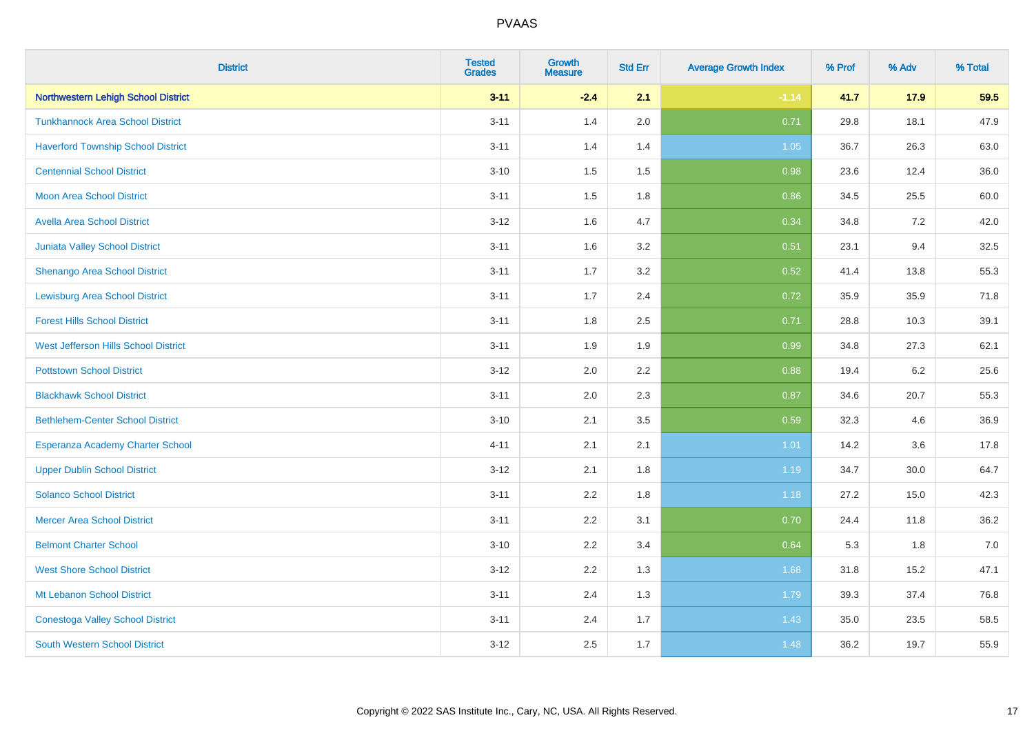| <b>District</b>                            | <b>Tested</b><br><b>Grades</b> | Growth<br><b>Measure</b> | <b>Std Err</b> | <b>Average Growth Index</b> | % Prof | % Adv   | % Total |
|--------------------------------------------|--------------------------------|--------------------------|----------------|-----------------------------|--------|---------|---------|
| <b>Northwestern Lehigh School District</b> | $3 - 11$                       | $-2.4$                   | 2.1            | $-1.14$                     | 41.7   | 17.9    | 59.5    |
| <b>Tunkhannock Area School District</b>    | $3 - 11$                       | 1.4                      | 2.0            | 0.71                        | 29.8   | 18.1    | 47.9    |
| <b>Haverford Township School District</b>  | $3 - 11$                       | 1.4                      | 1.4            | $1.05$                      | 36.7   | 26.3    | 63.0    |
| <b>Centennial School District</b>          | $3 - 10$                       | 1.5                      | 1.5            | 0.98                        | 23.6   | 12.4    | 36.0    |
| <b>Moon Area School District</b>           | $3 - 11$                       | 1.5                      | 1.8            | 0.86                        | 34.5   | 25.5    | 60.0    |
| <b>Avella Area School District</b>         | $3 - 12$                       | 1.6                      | 4.7            | 0.34                        | 34.8   | 7.2     | 42.0    |
| <b>Juniata Valley School District</b>      | $3 - 11$                       | 1.6                      | 3.2            | 0.51                        | 23.1   | 9.4     | 32.5    |
| Shenango Area School District              | $3 - 11$                       | 1.7                      | 3.2            | 0.52                        | 41.4   | 13.8    | 55.3    |
| <b>Lewisburg Area School District</b>      | $3 - 11$                       | 1.7                      | 2.4            | 0.72                        | 35.9   | 35.9    | 71.8    |
| <b>Forest Hills School District</b>        | $3 - 11$                       | 1.8                      | 2.5            | 0.71                        | 28.8   | 10.3    | 39.1    |
| West Jefferson Hills School District       | $3 - 11$                       | 1.9                      | 1.9            | 0.99                        | 34.8   | 27.3    | 62.1    |
| <b>Pottstown School District</b>           | $3 - 12$                       | 2.0                      | 2.2            | 0.88                        | 19.4   | $6.2\,$ | 25.6    |
| <b>Blackhawk School District</b>           | $3 - 11$                       | 2.0                      | 2.3            | 0.87                        | 34.6   | 20.7    | 55.3    |
| <b>Bethlehem-Center School District</b>    | $3 - 10$                       | 2.1                      | 3.5            | 0.59                        | 32.3   | 4.6     | 36.9    |
| Esperanza Academy Charter School           | $4 - 11$                       | 2.1                      | 2.1            | 1.01                        | 14.2   | 3.6     | 17.8    |
| <b>Upper Dublin School District</b>        | $3 - 12$                       | 2.1                      | 1.8            | 1.19                        | 34.7   | 30.0    | 64.7    |
| <b>Solanco School District</b>             | $3 - 11$                       | 2.2                      | 1.8            | 1.18                        | 27.2   | 15.0    | 42.3    |
| <b>Mercer Area School District</b>         | $3 - 11$                       | 2.2                      | 3.1            | 0.70                        | 24.4   | 11.8    | 36.2    |
| <b>Belmont Charter School</b>              | $3 - 10$                       | 2.2                      | 3.4            | 0.64                        | 5.3    | 1.8     | $7.0$   |
| <b>West Shore School District</b>          | $3 - 12$                       | 2.2                      | 1.3            | 1.68                        | 31.8   | 15.2    | 47.1    |
| Mt Lebanon School District                 | $3 - 11$                       | 2.4                      | 1.3            | 1.79                        | 39.3   | 37.4    | 76.8    |
| <b>Conestoga Valley School District</b>    | $3 - 11$                       | 2.4                      | 1.7            | 1.43                        | 35.0   | 23.5    | 58.5    |
| <b>South Western School District</b>       | $3 - 12$                       | 2.5                      | 1.7            | 1.48                        | 36.2   | 19.7    | 55.9    |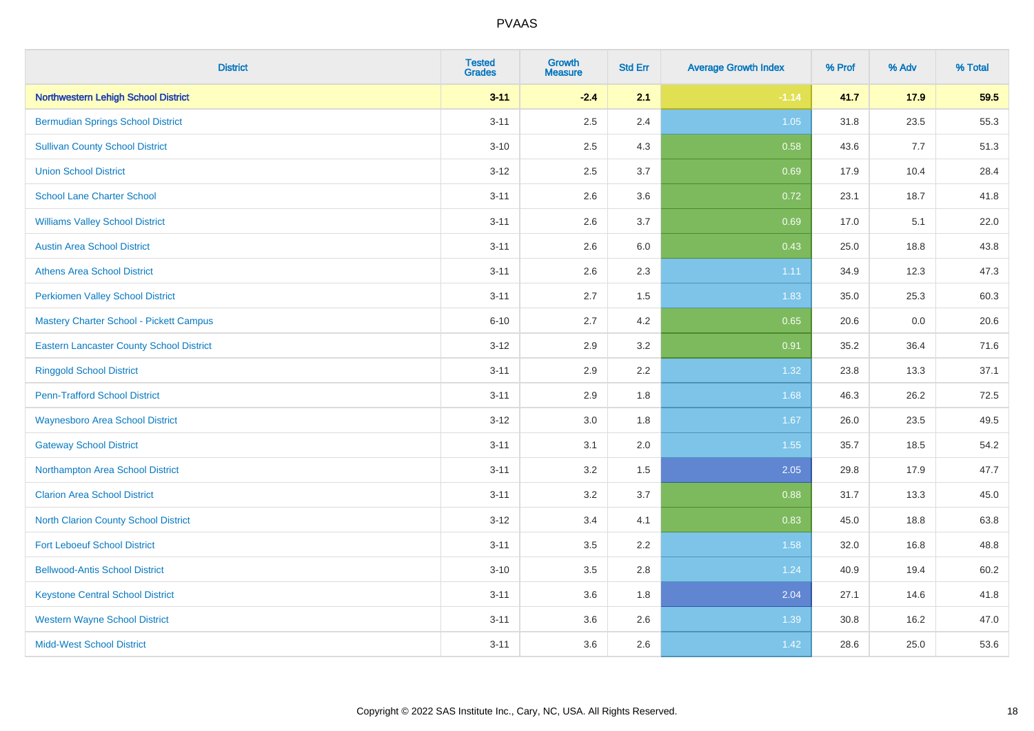| <b>District</b>                                 | <b>Tested</b><br><b>Grades</b> | <b>Growth</b><br><b>Measure</b> | <b>Std Err</b> | <b>Average Growth Index</b> | % Prof | % Adv | % Total |
|-------------------------------------------------|--------------------------------|---------------------------------|----------------|-----------------------------|--------|-------|---------|
| <b>Northwestern Lehigh School District</b>      | $3 - 11$                       | $-2.4$                          | 2.1            | $-1.14$                     | 41.7   | 17.9  | 59.5    |
| <b>Bermudian Springs School District</b>        | $3 - 11$                       | 2.5                             | 2.4            | 1.05                        | 31.8   | 23.5  | 55.3    |
| <b>Sullivan County School District</b>          | $3 - 10$                       | 2.5                             | 4.3            | 0.58                        | 43.6   | 7.7   | 51.3    |
| <b>Union School District</b>                    | $3 - 12$                       | 2.5                             | 3.7            | 0.69                        | 17.9   | 10.4  | 28.4    |
| <b>School Lane Charter School</b>               | $3 - 11$                       | 2.6                             | 3.6            | 0.72                        | 23.1   | 18.7  | 41.8    |
| <b>Williams Valley School District</b>          | $3 - 11$                       | 2.6                             | 3.7            | 0.69                        | 17.0   | 5.1   | 22.0    |
| <b>Austin Area School District</b>              | $3 - 11$                       | 2.6                             | 6.0            | 0.43                        | 25.0   | 18.8  | 43.8    |
| <b>Athens Area School District</b>              | $3 - 11$                       | 2.6                             | 2.3            | 1.11                        | 34.9   | 12.3  | 47.3    |
| <b>Perkiomen Valley School District</b>         | $3 - 11$                       | 2.7                             | 1.5            | 1.83                        | 35.0   | 25.3  | 60.3    |
| Mastery Charter School - Pickett Campus         | $6 - 10$                       | 2.7                             | 4.2            | 0.65                        | 20.6   | 0.0   | 20.6    |
| <b>Eastern Lancaster County School District</b> | $3 - 12$                       | 2.9                             | 3.2            | 0.91                        | 35.2   | 36.4  | 71.6    |
| <b>Ringgold School District</b>                 | $3 - 11$                       | 2.9                             | 2.2            | 1.32                        | 23.8   | 13.3  | 37.1    |
| <b>Penn-Trafford School District</b>            | $3 - 11$                       | 2.9                             | 1.8            | 1.68                        | 46.3   | 26.2  | 72.5    |
| <b>Waynesboro Area School District</b>          | $3 - 12$                       | $3.0\,$                         | 1.8            | 1.67                        | 26.0   | 23.5  | 49.5    |
| <b>Gateway School District</b>                  | $3 - 11$                       | 3.1                             | 2.0            | 1.55                        | 35.7   | 18.5  | 54.2    |
| Northampton Area School District                | $3 - 11$                       | 3.2                             | 1.5            | 2.05                        | 29.8   | 17.9  | 47.7    |
| <b>Clarion Area School District</b>             | $3 - 11$                       | 3.2                             | 3.7            | 0.88                        | 31.7   | 13.3  | 45.0    |
| North Clarion County School District            | $3 - 12$                       | 3.4                             | 4.1            | 0.83                        | 45.0   | 18.8  | 63.8    |
| <b>Fort Leboeuf School District</b>             | $3 - 11$                       | 3.5                             | 2.2            | 1.58                        | 32.0   | 16.8  | 48.8    |
| <b>Bellwood-Antis School District</b>           | $3 - 10$                       | 3.5                             | 2.8            | 1.24                        | 40.9   | 19.4  | 60.2    |
| <b>Keystone Central School District</b>         | $3 - 11$                       | 3.6                             | 1.8            | 2.04                        | 27.1   | 14.6  | 41.8    |
| <b>Western Wayne School District</b>            | $3 - 11$                       | 3.6                             | 2.6            | 1.39                        | 30.8   | 16.2  | 47.0    |
| <b>Midd-West School District</b>                | $3 - 11$                       | 3.6                             | 2.6            | 1.42                        | 28.6   | 25.0  | 53.6    |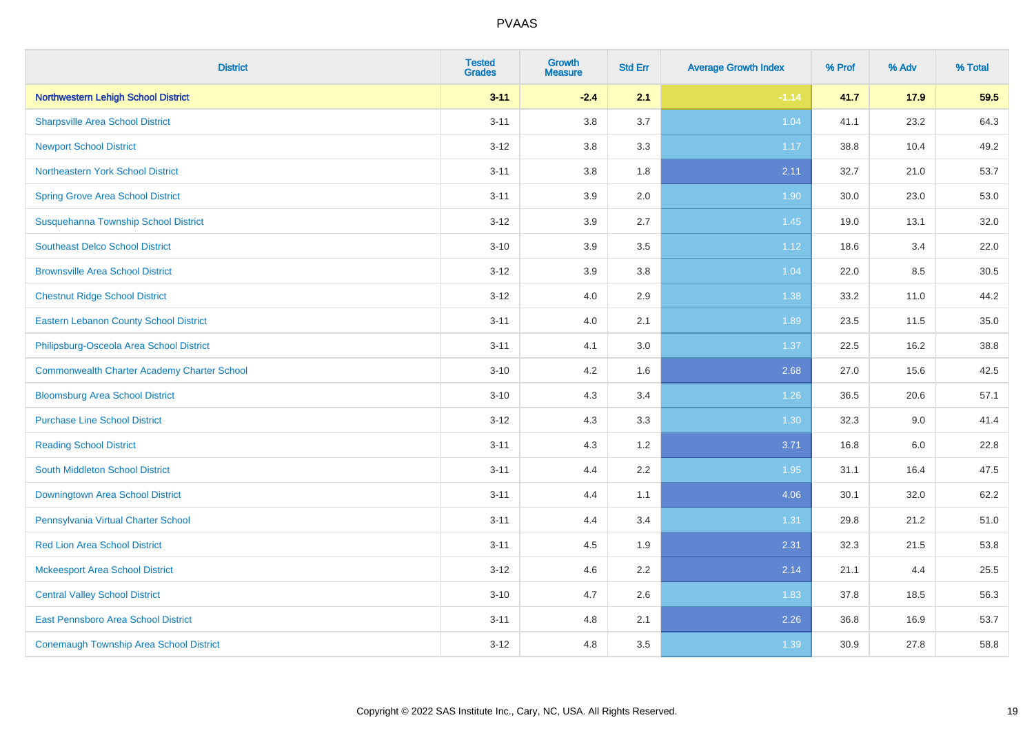| <b>District</b>                                    | <b>Tested</b><br><b>Grades</b> | <b>Growth</b><br><b>Measure</b> | <b>Std Err</b> | <b>Average Growth Index</b> | % Prof | % Adv | % Total |
|----------------------------------------------------|--------------------------------|---------------------------------|----------------|-----------------------------|--------|-------|---------|
| <b>Northwestern Lehigh School District</b>         | $3 - 11$                       | $-2.4$                          | 2.1            | $-1.14$                     | 41.7   | 17.9  | 59.5    |
| <b>Sharpsville Area School District</b>            | $3 - 11$                       | 3.8                             | 3.7            | 1.04                        | 41.1   | 23.2  | 64.3    |
| <b>Newport School District</b>                     | $3 - 12$                       | 3.8                             | 3.3            | 1.17                        | 38.8   | 10.4  | 49.2    |
| Northeastern York School District                  | $3 - 11$                       | 3.8                             | 1.8            | 2.11                        | 32.7   | 21.0  | 53.7    |
| <b>Spring Grove Area School District</b>           | $3 - 11$                       | 3.9                             | 2.0            | 1.90                        | 30.0   | 23.0  | 53.0    |
| Susquehanna Township School District               | $3 - 12$                       | 3.9                             | 2.7            | 1.45                        | 19.0   | 13.1  | 32.0    |
| <b>Southeast Delco School District</b>             | $3 - 10$                       | 3.9                             | 3.5            | 1.12                        | 18.6   | 3.4   | 22.0    |
| <b>Brownsville Area School District</b>            | $3 - 12$                       | 3.9                             | 3.8            | 1.04                        | 22.0   | 8.5   | 30.5    |
| <b>Chestnut Ridge School District</b>              | $3 - 12$                       | 4.0                             | 2.9            | 1.38                        | 33.2   | 11.0  | 44.2    |
| <b>Eastern Lebanon County School District</b>      | $3 - 11$                       | 4.0                             | 2.1            | 1.89                        | 23.5   | 11.5  | 35.0    |
| Philipsburg-Osceola Area School District           | $3 - 11$                       | 4.1                             | 3.0            | 1.37                        | 22.5   | 16.2  | 38.8    |
| <b>Commonwealth Charter Academy Charter School</b> | $3 - 10$                       | 4.2                             | 1.6            | 2.68                        | 27.0   | 15.6  | 42.5    |
| <b>Bloomsburg Area School District</b>             | $3 - 10$                       | 4.3                             | 3.4            | 1.26                        | 36.5   | 20.6  | 57.1    |
| <b>Purchase Line School District</b>               | $3 - 12$                       | 4.3                             | 3.3            | 1.30                        | 32.3   | 9.0   | 41.4    |
| <b>Reading School District</b>                     | $3 - 11$                       | 4.3                             | 1.2            | 3.71                        | 16.8   | 6.0   | 22.8    |
| <b>South Middleton School District</b>             | $3 - 11$                       | 4.4                             | 2.2            | 1.95                        | 31.1   | 16.4  | 47.5    |
| Downingtown Area School District                   | $3 - 11$                       | 4.4                             | 1.1            | 4.06                        | 30.1   | 32.0  | 62.2    |
| Pennsylvania Virtual Charter School                | $3 - 11$                       | 4.4                             | 3.4            | 1.31                        | 29.8   | 21.2  | 51.0    |
| <b>Red Lion Area School District</b>               | $3 - 11$                       | 4.5                             | 1.9            | 2.31                        | 32.3   | 21.5  | 53.8    |
| <b>Mckeesport Area School District</b>             | $3 - 12$                       | 4.6                             | 2.2            | 2.14                        | 21.1   | 4.4   | 25.5    |
| <b>Central Valley School District</b>              | $3 - 10$                       | 4.7                             | 2.6            | 1.83                        | 37.8   | 18.5  | 56.3    |
| East Pennsboro Area School District                | $3 - 11$                       | 4.8                             | 2.1            | 2.26                        | 36.8   | 16.9  | 53.7    |
| <b>Conemaugh Township Area School District</b>     | $3 - 12$                       | 4.8                             | 3.5            | 1.39                        | 30.9   | 27.8  | 58.8    |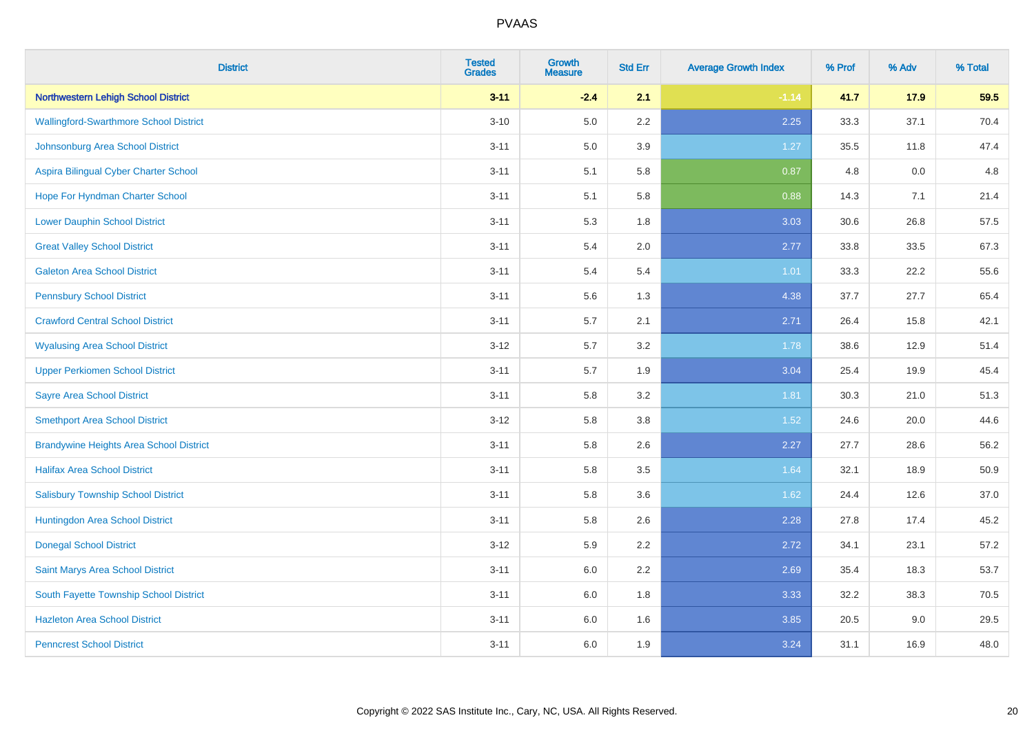| <b>District</b>                                | <b>Tested</b><br><b>Grades</b> | <b>Growth</b><br><b>Measure</b> | <b>Std Err</b> | <b>Average Growth Index</b> | % Prof | % Adv | % Total |
|------------------------------------------------|--------------------------------|---------------------------------|----------------|-----------------------------|--------|-------|---------|
| <b>Northwestern Lehigh School District</b>     | $3 - 11$                       | $-2.4$                          | 2.1            | $-1.14$                     | 41.7   | 17.9  | 59.5    |
| <b>Wallingford-Swarthmore School District</b>  | $3 - 10$                       | $5.0\,$                         | $2.2\,$        | 2.25                        | 33.3   | 37.1  | 70.4    |
| Johnsonburg Area School District               | $3 - 11$                       | 5.0                             | 3.9            | $1.27$                      | 35.5   | 11.8  | 47.4    |
| Aspira Bilingual Cyber Charter School          | $3 - 11$                       | 5.1                             | 5.8            | 0.87                        | 4.8    | 0.0   | 4.8     |
| Hope For Hyndman Charter School                | $3 - 11$                       | 5.1                             | 5.8            | 0.88                        | 14.3   | 7.1   | 21.4    |
| <b>Lower Dauphin School District</b>           | $3 - 11$                       | 5.3                             | 1.8            | 3.03                        | 30.6   | 26.8  | 57.5    |
| <b>Great Valley School District</b>            | $3 - 11$                       | 5.4                             | 2.0            | 2.77                        | 33.8   | 33.5  | 67.3    |
| <b>Galeton Area School District</b>            | $3 - 11$                       | 5.4                             | 5.4            | 1.01                        | 33.3   | 22.2  | 55.6    |
| <b>Pennsbury School District</b>               | $3 - 11$                       | 5.6                             | 1.3            | 4.38                        | 37.7   | 27.7  | 65.4    |
| <b>Crawford Central School District</b>        | $3 - 11$                       | 5.7                             | 2.1            | 2.71                        | 26.4   | 15.8  | 42.1    |
| <b>Wyalusing Area School District</b>          | $3 - 12$                       | 5.7                             | 3.2            | 1.78                        | 38.6   | 12.9  | 51.4    |
| <b>Upper Perkiomen School District</b>         | $3 - 11$                       | 5.7                             | 1.9            | 3.04                        | 25.4   | 19.9  | 45.4    |
| <b>Sayre Area School District</b>              | $3 - 11$                       | 5.8                             | 3.2            | 1.81                        | 30.3   | 21.0  | 51.3    |
| <b>Smethport Area School District</b>          | $3 - 12$                       | 5.8                             | 3.8            | 1.52                        | 24.6   | 20.0  | 44.6    |
| <b>Brandywine Heights Area School District</b> | $3 - 11$                       | 5.8                             | 2.6            | 2.27                        | 27.7   | 28.6  | 56.2    |
| <b>Halifax Area School District</b>            | $3 - 11$                       | 5.8                             | 3.5            | 1.64                        | 32.1   | 18.9  | 50.9    |
| <b>Salisbury Township School District</b>      | $3 - 11$                       | 5.8                             | 3.6            | 1.62                        | 24.4   | 12.6  | 37.0    |
| Huntingdon Area School District                | $3 - 11$                       | 5.8                             | 2.6            | 2.28                        | 27.8   | 17.4  | 45.2    |
| <b>Donegal School District</b>                 | $3 - 12$                       | 5.9                             | 2.2            | 2.72                        | 34.1   | 23.1  | 57.2    |
| Saint Marys Area School District               | $3 - 11$                       | 6.0                             | 2.2            | 2.69                        | 35.4   | 18.3  | 53.7    |
| South Fayette Township School District         | $3 - 11$                       | 6.0                             | 1.8            | 3.33                        | 32.2   | 38.3  | 70.5    |
| <b>Hazleton Area School District</b>           | $3 - 11$                       | 6.0                             | 1.6            | 3.85                        | 20.5   | 9.0   | 29.5    |
| <b>Penncrest School District</b>               | $3 - 11$                       | 6.0                             | 1.9            | 3.24                        | 31.1   | 16.9  | 48.0    |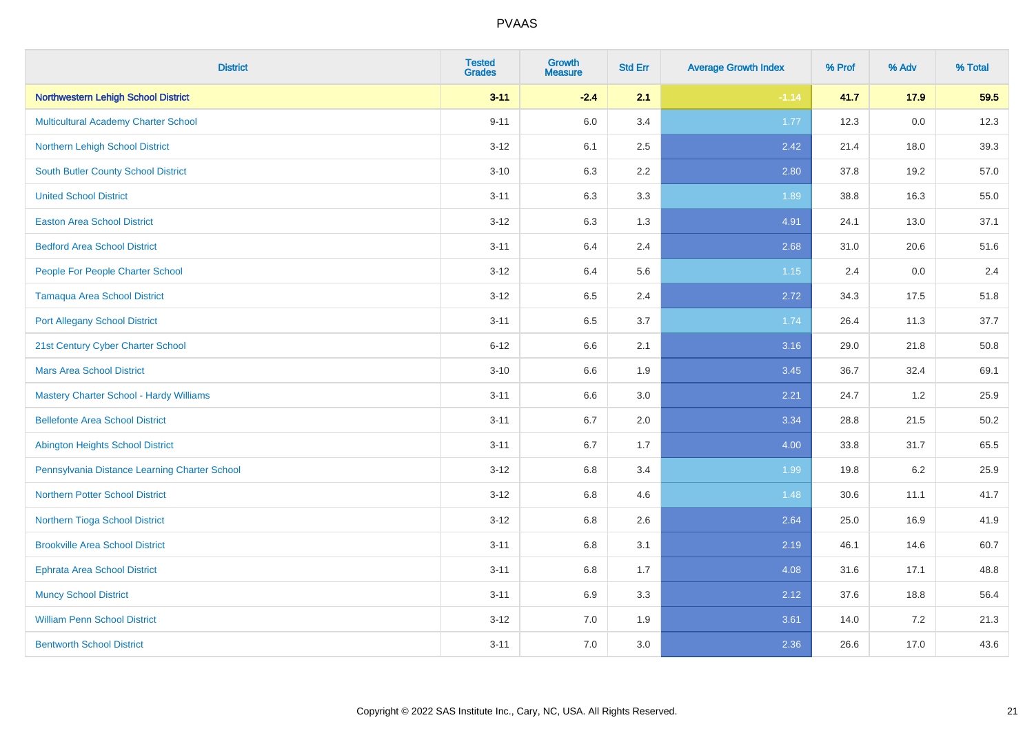| <b>District</b>                                | <b>Tested</b><br><b>Grades</b> | <b>Growth</b><br><b>Measure</b> | <b>Std Err</b> | <b>Average Growth Index</b> | % Prof | % Adv | % Total |
|------------------------------------------------|--------------------------------|---------------------------------|----------------|-----------------------------|--------|-------|---------|
| <b>Northwestern Lehigh School District</b>     | $3 - 11$                       | $-2.4$                          | 2.1            | $-1.14$                     | 41.7   | 17.9  | 59.5    |
| <b>Multicultural Academy Charter School</b>    | $9 - 11$                       | $6.0\,$                         | 3.4            | 1.77                        | 12.3   | 0.0   | 12.3    |
| Northern Lehigh School District                | $3 - 12$                       | 6.1                             | 2.5            | 2.42                        | 21.4   | 18.0  | 39.3    |
| <b>South Butler County School District</b>     | $3 - 10$                       | 6.3                             | 2.2            | 2.80                        | 37.8   | 19.2  | 57.0    |
| <b>United School District</b>                  | $3 - 11$                       | 6.3                             | 3.3            | 1.89                        | 38.8   | 16.3  | 55.0    |
| <b>Easton Area School District</b>             | $3 - 12$                       | 6.3                             | 1.3            | 4.91                        | 24.1   | 13.0  | 37.1    |
| <b>Bedford Area School District</b>            | $3 - 11$                       | 6.4                             | 2.4            | 2.68                        | 31.0   | 20.6  | 51.6    |
| People For People Charter School               | $3 - 12$                       | 6.4                             | 5.6            | 1.15                        | 2.4    | 0.0   | 2.4     |
| <b>Tamaqua Area School District</b>            | $3 - 12$                       | 6.5                             | 2.4            | 2.72                        | 34.3   | 17.5  | 51.8    |
| <b>Port Allegany School District</b>           | $3 - 11$                       | 6.5                             | 3.7            | 1.74                        | 26.4   | 11.3  | 37.7    |
| 21st Century Cyber Charter School              | $6 - 12$                       | 6.6                             | 2.1            | 3.16                        | 29.0   | 21.8  | 50.8    |
| <b>Mars Area School District</b>               | $3 - 10$                       | 6.6                             | 1.9            | 3.45                        | 36.7   | 32.4  | 69.1    |
| <b>Mastery Charter School - Hardy Williams</b> | $3 - 11$                       | 6.6                             | 3.0            | 2.21                        | 24.7   | 1.2   | 25.9    |
| <b>Bellefonte Area School District</b>         | $3 - 11$                       | $6.7\,$                         | 2.0            | 3.34                        | 28.8   | 21.5  | 50.2    |
| <b>Abington Heights School District</b>        | $3 - 11$                       | $6.7\,$                         | 1.7            | 4.00                        | 33.8   | 31.7  | 65.5    |
| Pennsylvania Distance Learning Charter School  | $3 - 12$                       | 6.8                             | 3.4            | 1.99                        | 19.8   | 6.2   | 25.9    |
| <b>Northern Potter School District</b>         | $3 - 12$                       | 6.8                             | 4.6            | 1.48                        | 30.6   | 11.1  | 41.7    |
| Northern Tioga School District                 | $3 - 12$                       | 6.8                             | 2.6            | 2.64                        | 25.0   | 16.9  | 41.9    |
| <b>Brookville Area School District</b>         | $3 - 11$                       | $6.8\,$                         | 3.1            | 2.19                        | 46.1   | 14.6  | 60.7    |
| <b>Ephrata Area School District</b>            | $3 - 11$                       | 6.8                             | 1.7            | 4.08                        | 31.6   | 17.1  | 48.8    |
| <b>Muncy School District</b>                   | $3 - 11$                       | 6.9                             | 3.3            | 2.12                        | 37.6   | 18.8  | 56.4    |
| <b>William Penn School District</b>            | $3 - 12$                       | 7.0                             | 1.9            | 3.61                        | 14.0   | 7.2   | 21.3    |
| <b>Bentworth School District</b>               | $3 - 11$                       | 7.0                             | 3.0            | 2.36                        | 26.6   | 17.0  | 43.6    |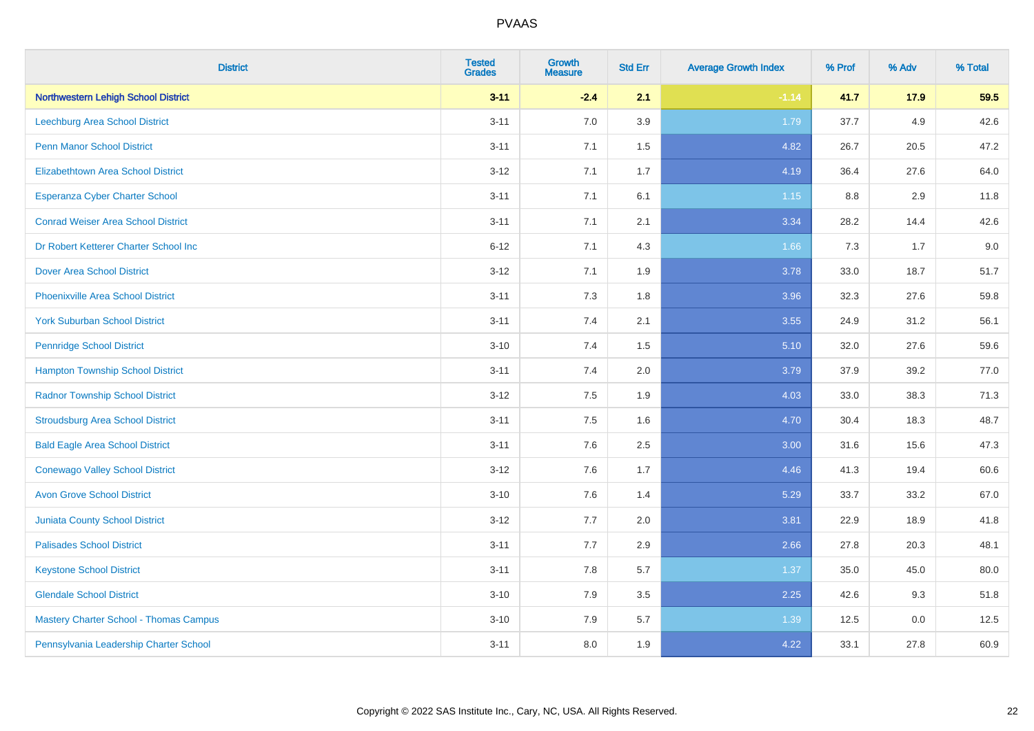| <b>District</b>                               | <b>Tested</b><br><b>Grades</b> | <b>Growth</b><br><b>Measure</b> | <b>Std Err</b> | <b>Average Growth Index</b> | % Prof | % Adv | % Total |
|-----------------------------------------------|--------------------------------|---------------------------------|----------------|-----------------------------|--------|-------|---------|
| <b>Northwestern Lehigh School District</b>    | $3 - 11$                       | $-2.4$                          | 2.1            | $-1.14$                     | 41.7   | 17.9  | 59.5    |
| Leechburg Area School District                | $3 - 11$                       | 7.0                             | 3.9            | 1.79                        | 37.7   | 4.9   | 42.6    |
| <b>Penn Manor School District</b>             | $3 - 11$                       | 7.1                             | 1.5            | 4.82                        | 26.7   | 20.5  | 47.2    |
| <b>Elizabethtown Area School District</b>     | $3 - 12$                       | 7.1                             | 1.7            | 4.19                        | 36.4   | 27.6  | 64.0    |
| <b>Esperanza Cyber Charter School</b>         | $3 - 11$                       | 7.1                             | 6.1            | $1.15$                      | 8.8    | 2.9   | 11.8    |
| <b>Conrad Weiser Area School District</b>     | $3 - 11$                       | 7.1                             | 2.1            | 3.34                        | 28.2   | 14.4  | 42.6    |
| Dr Robert Ketterer Charter School Inc         | $6 - 12$                       | 7.1                             | 4.3            | 1.66                        | 7.3    | 1.7   | 9.0     |
| <b>Dover Area School District</b>             | $3 - 12$                       | 7.1                             | 1.9            | 3.78                        | 33.0   | 18.7  | 51.7    |
| <b>Phoenixville Area School District</b>      | $3 - 11$                       | 7.3                             | 1.8            | 3.96                        | 32.3   | 27.6  | 59.8    |
| <b>York Suburban School District</b>          | $3 - 11$                       | 7.4                             | 2.1            | 3.55                        | 24.9   | 31.2  | 56.1    |
| <b>Pennridge School District</b>              | $3 - 10$                       | 7.4                             | 1.5            | 5.10                        | 32.0   | 27.6  | 59.6    |
| <b>Hampton Township School District</b>       | $3 - 11$                       | 7.4                             | 2.0            | 3.79                        | 37.9   | 39.2  | 77.0    |
| <b>Radnor Township School District</b>        | $3 - 12$                       | $7.5\,$                         | 1.9            | 4.03                        | 33.0   | 38.3  | 71.3    |
| <b>Stroudsburg Area School District</b>       | $3 - 11$                       | 7.5                             | 1.6            | 4.70                        | 30.4   | 18.3  | 48.7    |
| <b>Bald Eagle Area School District</b>        | $3 - 11$                       | 7.6                             | 2.5            | 3.00                        | 31.6   | 15.6  | 47.3    |
| <b>Conewago Valley School District</b>        | $3 - 12$                       | 7.6                             | 1.7            | 4.46                        | 41.3   | 19.4  | 60.6    |
| <b>Avon Grove School District</b>             | $3 - 10$                       | 7.6                             | 1.4            | 5.29                        | 33.7   | 33.2  | 67.0    |
| <b>Juniata County School District</b>         | $3 - 12$                       | 7.7                             | 2.0            | 3.81                        | 22.9   | 18.9  | 41.8    |
| <b>Palisades School District</b>              | $3 - 11$                       | 7.7                             | 2.9            | 2.66                        | 27.8   | 20.3  | 48.1    |
| <b>Keystone School District</b>               | $3 - 11$                       | 7.8                             | 5.7            | 1.37                        | 35.0   | 45.0  | 80.0    |
| <b>Glendale School District</b>               | $3 - 10$                       | 7.9                             | 3.5            | 2.25                        | 42.6   | 9.3   | 51.8    |
| <b>Mastery Charter School - Thomas Campus</b> | $3 - 10$                       | 7.9                             | 5.7            | 1.39                        | 12.5   | 0.0   | 12.5    |
| Pennsylvania Leadership Charter School        | $3 - 11$                       | 8.0                             | 1.9            | 4.22                        | 33.1   | 27.8  | 60.9    |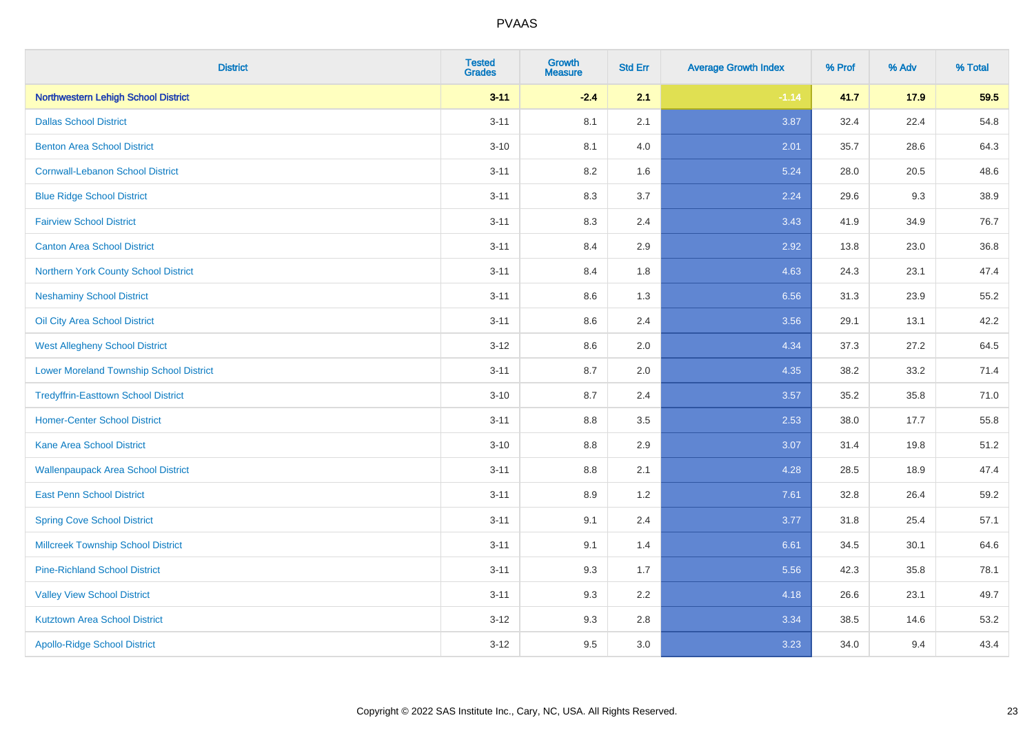| <b>District</b>                                | <b>Tested</b><br><b>Grades</b> | <b>Growth</b><br><b>Measure</b> | <b>Std Err</b> | <b>Average Growth Index</b> | % Prof | % Adv | % Total |
|------------------------------------------------|--------------------------------|---------------------------------|----------------|-----------------------------|--------|-------|---------|
| Northwestern Lehigh School District            | $3 - 11$                       | $-2.4$                          | 2.1            | $-1.14$                     | 41.7   | 17.9  | 59.5    |
| <b>Dallas School District</b>                  | $3 - 11$                       | 8.1                             | 2.1            | 3.87                        | 32.4   | 22.4  | 54.8    |
| <b>Benton Area School District</b>             | $3 - 10$                       | 8.1                             | 4.0            | 2.01                        | 35.7   | 28.6  | 64.3    |
| <b>Cornwall-Lebanon School District</b>        | $3 - 11$                       | 8.2                             | 1.6            | 5.24                        | 28.0   | 20.5  | 48.6    |
| <b>Blue Ridge School District</b>              | $3 - 11$                       | 8.3                             | 3.7            | 2.24                        | 29.6   | 9.3   | 38.9    |
| <b>Fairview School District</b>                | $3 - 11$                       | 8.3                             | 2.4            | 3.43                        | 41.9   | 34.9  | 76.7    |
| <b>Canton Area School District</b>             | $3 - 11$                       | 8.4                             | 2.9            | 2.92                        | 13.8   | 23.0  | 36.8    |
| Northern York County School District           | $3 - 11$                       | 8.4                             | 1.8            | 4.63                        | 24.3   | 23.1  | 47.4    |
| <b>Neshaminy School District</b>               | $3 - 11$                       | 8.6                             | 1.3            | 6.56                        | 31.3   | 23.9  | 55.2    |
| Oil City Area School District                  | $3 - 11$                       | 8.6                             | 2.4            | 3.56                        | 29.1   | 13.1  | 42.2    |
| <b>West Allegheny School District</b>          | $3 - 12$                       | 8.6                             | 2.0            | 4.34                        | 37.3   | 27.2  | 64.5    |
| <b>Lower Moreland Township School District</b> | $3 - 11$                       | 8.7                             | 2.0            | 4.35                        | 38.2   | 33.2  | 71.4    |
| <b>Tredyffrin-Easttown School District</b>     | $3 - 10$                       | 8.7                             | 2.4            | 3.57                        | 35.2   | 35.8  | 71.0    |
| <b>Homer-Center School District</b>            | $3 - 11$                       | 8.8                             | 3.5            | 2.53                        | 38.0   | 17.7  | 55.8    |
| <b>Kane Area School District</b>               | $3 - 10$                       | 8.8                             | 2.9            | 3.07                        | 31.4   | 19.8  | 51.2    |
| <b>Wallenpaupack Area School District</b>      | $3 - 11$                       | $8.8\,$                         | 2.1            | 4.28                        | 28.5   | 18.9  | 47.4    |
| <b>East Penn School District</b>               | $3 - 11$                       | 8.9                             | 1.2            | 7.61                        | 32.8   | 26.4  | 59.2    |
| <b>Spring Cove School District</b>             | $3 - 11$                       | 9.1                             | 2.4            | 3.77                        | 31.8   | 25.4  | 57.1    |
| <b>Millcreek Township School District</b>      | $3 - 11$                       | 9.1                             | 1.4            | 6.61                        | 34.5   | 30.1  | 64.6    |
| <b>Pine-Richland School District</b>           | $3 - 11$                       | 9.3                             | 1.7            | 5.56                        | 42.3   | 35.8  | 78.1    |
| <b>Valley View School District</b>             | $3 - 11$                       | 9.3                             | 2.2            | 4.18                        | 26.6   | 23.1  | 49.7    |
| <b>Kutztown Area School District</b>           | $3 - 12$                       | 9.3                             | 2.8            | 3.34                        | 38.5   | 14.6  | 53.2    |
| <b>Apollo-Ridge School District</b>            | $3 - 12$                       | 9.5                             | 3.0            | 3.23                        | 34.0   | 9.4   | 43.4    |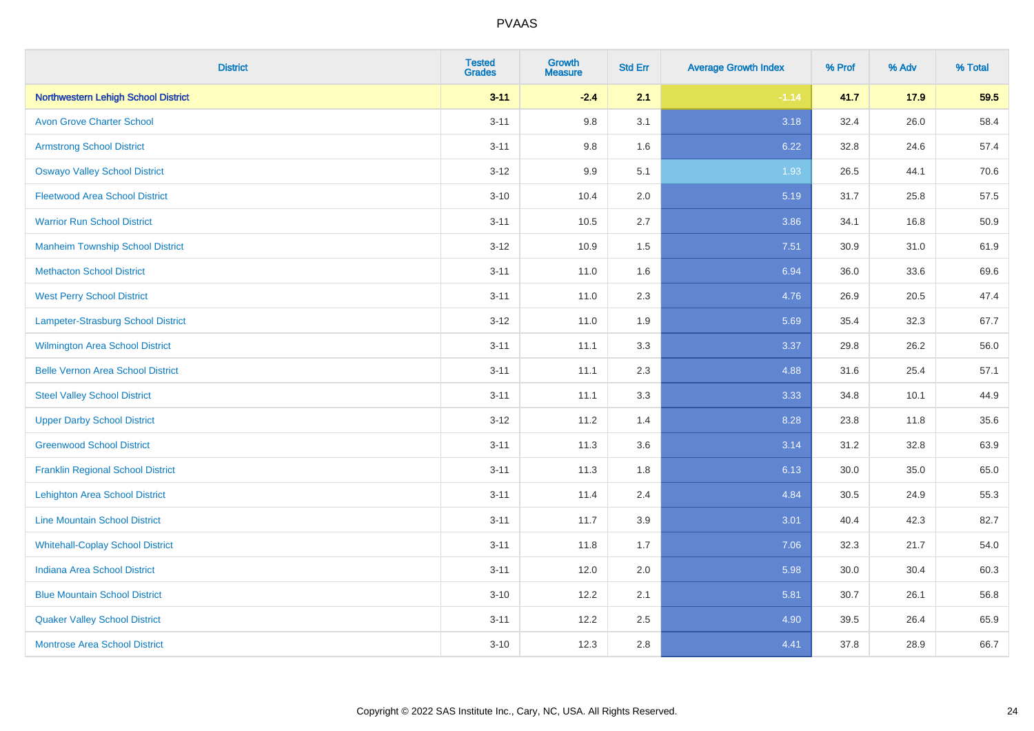| <b>District</b>                          | <b>Tested</b><br><b>Grades</b> | <b>Growth</b><br><b>Measure</b> | <b>Std Err</b> | <b>Average Growth Index</b> | % Prof | % Adv | % Total |
|------------------------------------------|--------------------------------|---------------------------------|----------------|-----------------------------|--------|-------|---------|
| Northwestern Lehigh School District      | $3 - 11$                       | $-2.4$                          | 2.1            | $-1.14$                     | 41.7   | 17.9  | 59.5    |
| <b>Avon Grove Charter School</b>         | $3 - 11$                       | 9.8                             | 3.1            | 3.18                        | 32.4   | 26.0  | 58.4    |
| <b>Armstrong School District</b>         | $3 - 11$                       | 9.8                             | 1.6            | 6.22                        | 32.8   | 24.6  | 57.4    |
| <b>Oswayo Valley School District</b>     | $3 - 12$                       | 9.9                             | 5.1            | 1.93                        | 26.5   | 44.1  | 70.6    |
| <b>Fleetwood Area School District</b>    | $3 - 10$                       | 10.4                            | 2.0            | 5.19                        | 31.7   | 25.8  | 57.5    |
| <b>Warrior Run School District</b>       | $3 - 11$                       | 10.5                            | 2.7            | 3.86                        | 34.1   | 16.8  | 50.9    |
| <b>Manheim Township School District</b>  | $3-12$                         | 10.9                            | 1.5            | 7.51                        | 30.9   | 31.0  | 61.9    |
| <b>Methacton School District</b>         | $3 - 11$                       | 11.0                            | 1.6            | 6.94                        | 36.0   | 33.6  | 69.6    |
| <b>West Perry School District</b>        | $3 - 11$                       | 11.0                            | 2.3            | 4.76                        | 26.9   | 20.5  | 47.4    |
| Lampeter-Strasburg School District       | $3 - 12$                       | 11.0                            | 1.9            | 5.69                        | 35.4   | 32.3  | 67.7    |
| <b>Wilmington Area School District</b>   | $3 - 11$                       | 11.1                            | 3.3            | 3.37                        | 29.8   | 26.2  | 56.0    |
| <b>Belle Vernon Area School District</b> | $3 - 11$                       | 11.1                            | 2.3            | 4.88                        | 31.6   | 25.4  | 57.1    |
| <b>Steel Valley School District</b>      | $3 - 11$                       | 11.1                            | 3.3            | 3.33                        | 34.8   | 10.1  | 44.9    |
| <b>Upper Darby School District</b>       | $3 - 12$                       | 11.2                            | 1.4            | 8.28                        | 23.8   | 11.8  | 35.6    |
| <b>Greenwood School District</b>         | $3 - 11$                       | 11.3                            | 3.6            | 3.14                        | 31.2   | 32.8  | 63.9    |
| <b>Franklin Regional School District</b> | $3 - 11$                       | 11.3                            | 1.8            | 6.13                        | 30.0   | 35.0  | 65.0    |
| <b>Lehighton Area School District</b>    | $3 - 11$                       | 11.4                            | 2.4            | 4.84                        | 30.5   | 24.9  | 55.3    |
| <b>Line Mountain School District</b>     | $3 - 11$                       | 11.7                            | 3.9            | 3.01                        | 40.4   | 42.3  | 82.7    |
| <b>Whitehall-Coplay School District</b>  | $3 - 11$                       | 11.8                            | 1.7            | 7.06                        | 32.3   | 21.7  | 54.0    |
| <b>Indiana Area School District</b>      | $3 - 11$                       | 12.0                            | 2.0            | 5.98                        | 30.0   | 30.4  | 60.3    |
| <b>Blue Mountain School District</b>     | $3 - 10$                       | 12.2                            | 2.1            | 5.81                        | 30.7   | 26.1  | 56.8    |
| <b>Quaker Valley School District</b>     | $3 - 11$                       | 12.2                            | 2.5            | 4.90                        | 39.5   | 26.4  | 65.9    |
| <b>Montrose Area School District</b>     | $3 - 10$                       | 12.3                            | 2.8            | 4.41                        | 37.8   | 28.9  | 66.7    |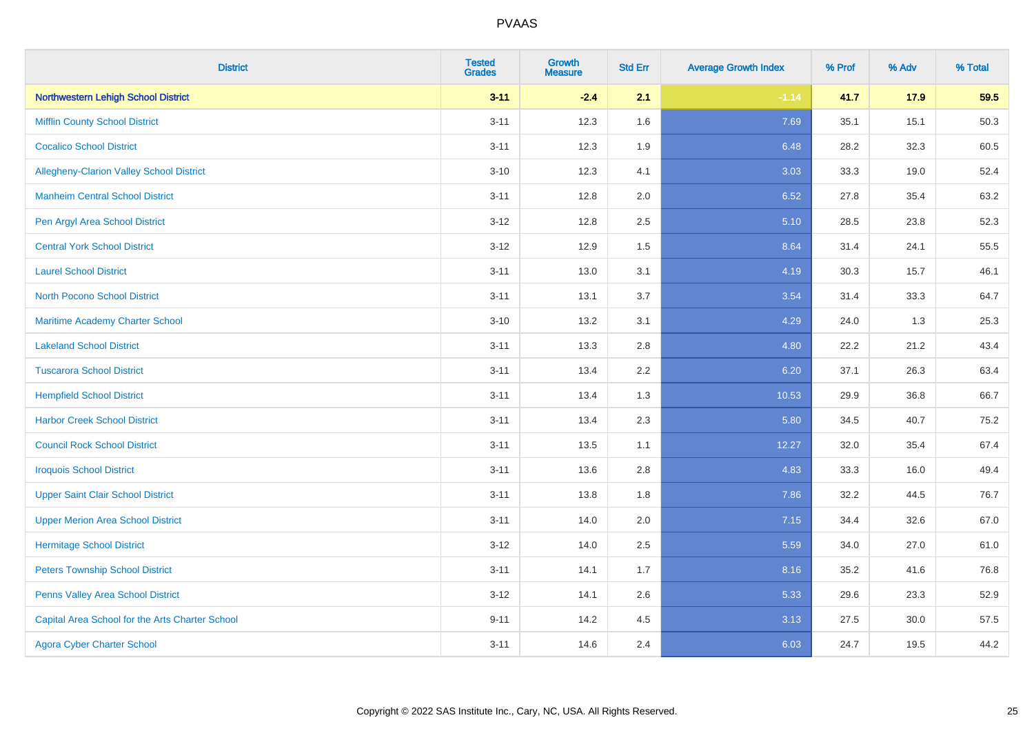| <b>District</b>                                 | <b>Tested</b><br><b>Grades</b> | Growth<br><b>Measure</b> | <b>Std Err</b> | <b>Average Growth Index</b> | % Prof | % Adv | % Total |
|-------------------------------------------------|--------------------------------|--------------------------|----------------|-----------------------------|--------|-------|---------|
| <b>Northwestern Lehigh School District</b>      | $3 - 11$                       | $-2.4$                   | 2.1            | $-1.14$                     | 41.7   | 17.9  | 59.5    |
| <b>Mifflin County School District</b>           | $3 - 11$                       | 12.3                     | 1.6            | 7.69                        | 35.1   | 15.1  | 50.3    |
| <b>Cocalico School District</b>                 | $3 - 11$                       | 12.3                     | 1.9            | 6.48                        | 28.2   | 32.3  | 60.5    |
| Allegheny-Clarion Valley School District        | $3 - 10$                       | 12.3                     | 4.1            | 3.03                        | 33.3   | 19.0  | 52.4    |
| <b>Manheim Central School District</b>          | $3 - 11$                       | 12.8                     | 2.0            | 6.52                        | 27.8   | 35.4  | 63.2    |
| Pen Argyl Area School District                  | $3 - 12$                       | 12.8                     | 2.5            | 5.10                        | 28.5   | 23.8  | 52.3    |
| <b>Central York School District</b>             | $3 - 12$                       | 12.9                     | 1.5            | 8.64                        | 31.4   | 24.1  | 55.5    |
| <b>Laurel School District</b>                   | $3 - 11$                       | 13.0                     | 3.1            | 4.19                        | 30.3   | 15.7  | 46.1    |
| North Pocono School District                    | $3 - 11$                       | 13.1                     | 3.7            | 3.54                        | 31.4   | 33.3  | 64.7    |
| <b>Maritime Academy Charter School</b>          | $3 - 10$                       | 13.2                     | 3.1            | 4.29                        | 24.0   | 1.3   | 25.3    |
| <b>Lakeland School District</b>                 | $3 - 11$                       | 13.3                     | 2.8            | 4.80                        | 22.2   | 21.2  | 43.4    |
| <b>Tuscarora School District</b>                | $3 - 11$                       | 13.4                     | 2.2            | 6.20                        | 37.1   | 26.3  | 63.4    |
| <b>Hempfield School District</b>                | $3 - 11$                       | 13.4                     | 1.3            | 10.53                       | 29.9   | 36.8  | 66.7    |
| <b>Harbor Creek School District</b>             | $3 - 11$                       | 13.4                     | 2.3            | 5.80                        | 34.5   | 40.7  | 75.2    |
| <b>Council Rock School District</b>             | $3 - 11$                       | 13.5                     | 1.1            | 12.27                       | 32.0   | 35.4  | 67.4    |
| <b>Iroquois School District</b>                 | $3 - 11$                       | 13.6                     | 2.8            | 4.83                        | 33.3   | 16.0  | 49.4    |
| <b>Upper Saint Clair School District</b>        | $3 - 11$                       | 13.8                     | 1.8            | 7.86                        | 32.2   | 44.5  | 76.7    |
| <b>Upper Merion Area School District</b>        | $3 - 11$                       | 14.0                     | 2.0            | 7.15                        | 34.4   | 32.6  | 67.0    |
| <b>Hermitage School District</b>                | $3 - 12$                       | 14.0                     | 2.5            | 5.59                        | 34.0   | 27.0  | 61.0    |
| <b>Peters Township School District</b>          | $3 - 11$                       | 14.1                     | 1.7            | 8.16                        | 35.2   | 41.6  | 76.8    |
| Penns Valley Area School District               | $3 - 12$                       | 14.1                     | 2.6            | 5.33                        | 29.6   | 23.3  | 52.9    |
| Capital Area School for the Arts Charter School | $9 - 11$                       | 14.2                     | 4.5            | 3.13                        | 27.5   | 30.0  | 57.5    |
| <b>Agora Cyber Charter School</b>               | $3 - 11$                       | 14.6                     | 2.4            | 6.03                        | 24.7   | 19.5  | 44.2    |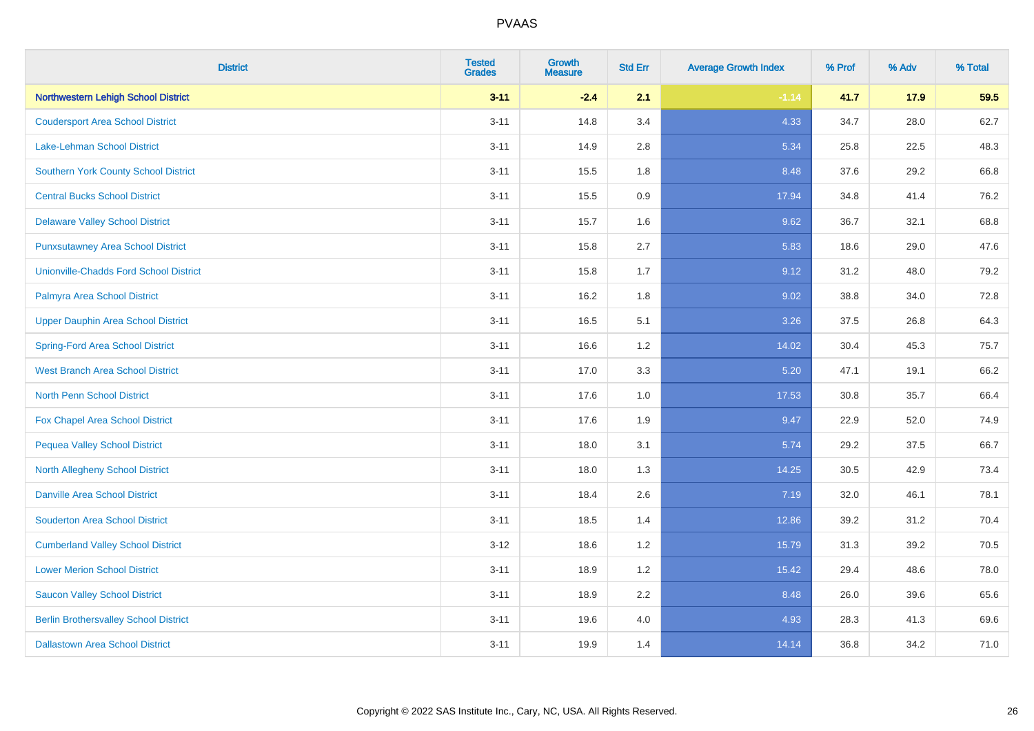| <b>District</b>                               | <b>Tested</b><br><b>Grades</b> | <b>Growth</b><br><b>Measure</b> | <b>Std Err</b> | <b>Average Growth Index</b> | % Prof | % Adv | % Total |
|-----------------------------------------------|--------------------------------|---------------------------------|----------------|-----------------------------|--------|-------|---------|
| Northwestern Lehigh School District           | $3 - 11$                       | $-2.4$                          | 2.1            | $-1.14$                     | 41.7   | 17.9  | 59.5    |
| <b>Coudersport Area School District</b>       | $3 - 11$                       | 14.8                            | 3.4            | 4.33                        | 34.7   | 28.0  | 62.7    |
| <b>Lake-Lehman School District</b>            | $3 - 11$                       | 14.9                            | 2.8            | 5.34                        | 25.8   | 22.5  | 48.3    |
| <b>Southern York County School District</b>   | $3 - 11$                       | 15.5                            | 1.8            | 8.48                        | 37.6   | 29.2  | 66.8    |
| <b>Central Bucks School District</b>          | $3 - 11$                       | 15.5                            | 0.9            | 17.94                       | 34.8   | 41.4  | 76.2    |
| <b>Delaware Valley School District</b>        | $3 - 11$                       | 15.7                            | 1.6            | 9.62                        | 36.7   | 32.1  | 68.8    |
| <b>Punxsutawney Area School District</b>      | $3 - 11$                       | 15.8                            | 2.7            | 5.83                        | 18.6   | 29.0  | 47.6    |
| <b>Unionville-Chadds Ford School District</b> | $3 - 11$                       | 15.8                            | 1.7            | 9.12                        | 31.2   | 48.0  | 79.2    |
| Palmyra Area School District                  | $3 - 11$                       | 16.2                            | 1.8            | 9.02                        | 38.8   | 34.0  | 72.8    |
| <b>Upper Dauphin Area School District</b>     | $3 - 11$                       | 16.5                            | 5.1            | 3.26                        | 37.5   | 26.8  | 64.3    |
| <b>Spring-Ford Area School District</b>       | $3 - 11$                       | 16.6                            | 1.2            | 14.02                       | 30.4   | 45.3  | 75.7    |
| <b>West Branch Area School District</b>       | $3 - 11$                       | 17.0                            | 3.3            | 5.20                        | 47.1   | 19.1  | 66.2    |
| North Penn School District                    | $3 - 11$                       | 17.6                            | 1.0            | 17.53                       | 30.8   | 35.7  | 66.4    |
| <b>Fox Chapel Area School District</b>        | $3 - 11$                       | 17.6                            | 1.9            | 9.47                        | 22.9   | 52.0  | 74.9    |
| <b>Pequea Valley School District</b>          | $3 - 11$                       | 18.0                            | 3.1            | 5.74                        | 29.2   | 37.5  | 66.7    |
| North Allegheny School District               | $3 - 11$                       | 18.0                            | 1.3            | 14.25                       | 30.5   | 42.9  | 73.4    |
| <b>Danville Area School District</b>          | $3 - 11$                       | 18.4                            | 2.6            | 7.19                        | 32.0   | 46.1  | 78.1    |
| <b>Souderton Area School District</b>         | $3 - 11$                       | 18.5                            | 1.4            | 12.86                       | 39.2   | 31.2  | 70.4    |
| <b>Cumberland Valley School District</b>      | $3 - 12$                       | 18.6                            | 1.2            | 15.79                       | 31.3   | 39.2  | 70.5    |
| <b>Lower Merion School District</b>           | $3 - 11$                       | 18.9                            | 1.2            | 15.42                       | 29.4   | 48.6  | 78.0    |
| <b>Saucon Valley School District</b>          | $3 - 11$                       | 18.9                            | 2.2            | 8.48                        | 26.0   | 39.6  | 65.6    |
| <b>Berlin Brothersvalley School District</b>  | $3 - 11$                       | 19.6                            | 4.0            | 4.93                        | 28.3   | 41.3  | 69.6    |
| <b>Dallastown Area School District</b>        | $3 - 11$                       | 19.9                            | 1.4            | 14.14                       | 36.8   | 34.2  | 71.0    |